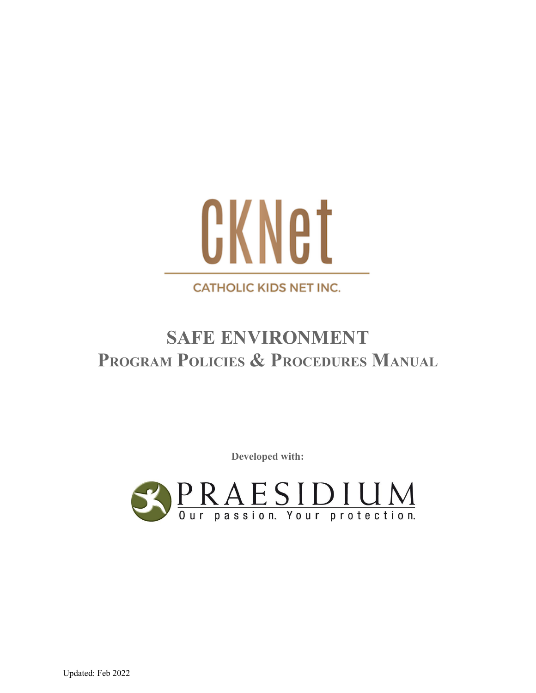

# **CATHOLIC KIDS NET INC.**

# **SAFE ENVIRONMENT PROGRAM POLICIES & PROCEDURES MANUAL**

**Developed with:**

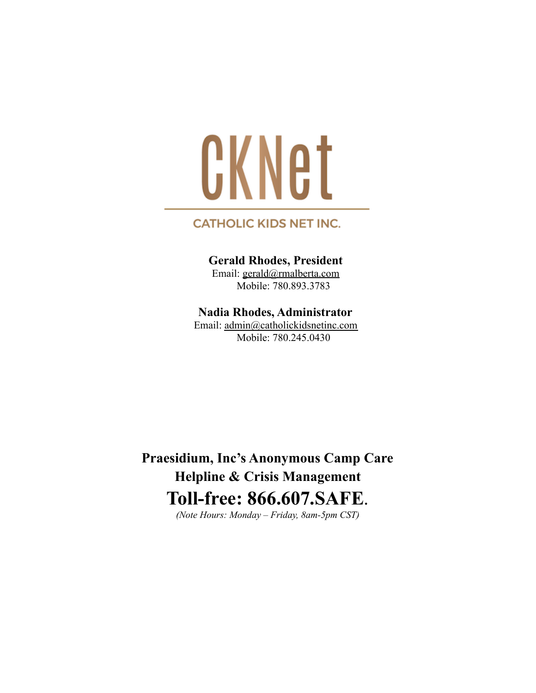# CKNet

### **CATHOLIC KIDS NET INC.**

### **Gerald Rhodes, President**

Email: [gerald@rmalberta.com](mailto:president@catholickidsnetinc.com) Mobile: 780.893.3783

### **Nadia Rhodes, Administrator**

Email: [admin@catholickidsnetinc.com](mailto:admin@catholickidsnetinc.com) Mobile: 780.245.0430

**Praesidium, Inc's Anonymous Camp Care Helpline & Crisis Management Toll-free: 866.607.SAFE**.

*(Note Hours: Monday – Friday, 8am-5pm CST)*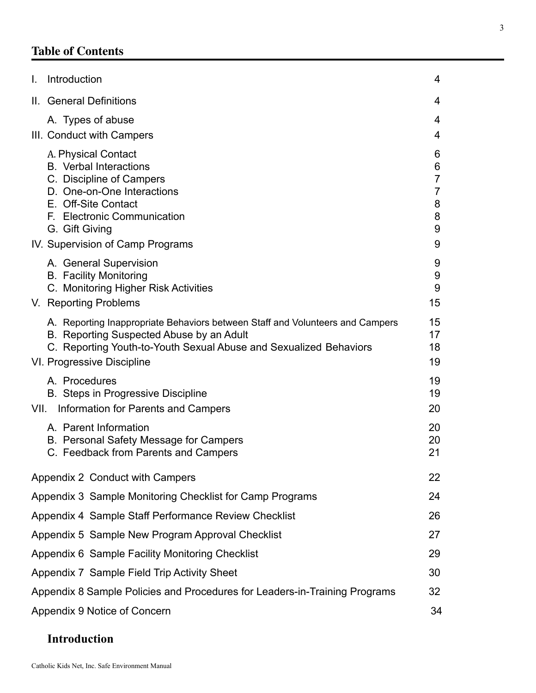# **Table of Contents**

| I.                                                                               | Introduction                                                                                                  | 4                   |
|----------------------------------------------------------------------------------|---------------------------------------------------------------------------------------------------------------|---------------------|
| II.                                                                              | <b>General Definitions</b>                                                                                    | 4                   |
|                                                                                  | A. Types of abuse                                                                                             | 4                   |
|                                                                                  | III. Conduct with Campers                                                                                     | 4                   |
|                                                                                  | A. Physical Contact                                                                                           | 6                   |
|                                                                                  | <b>B.</b> Verbal Interactions<br>C. Discipline of Campers                                                     | 6<br>$\overline{7}$ |
|                                                                                  | D. One-on-One Interactions                                                                                    | $\overline{7}$      |
|                                                                                  | E. Off-Site Contact<br>F. Electronic Communication                                                            | 8<br>8              |
|                                                                                  | G. Gift Giving                                                                                                | 9                   |
|                                                                                  | IV. Supervision of Camp Programs                                                                              | 9                   |
|                                                                                  | A. General Supervision                                                                                        | 9                   |
|                                                                                  | <b>B.</b> Facility Monitoring<br>C. Monitoring Higher Risk Activities                                         | 9<br>9              |
|                                                                                  | V. Reporting Problems                                                                                         | 15                  |
|                                                                                  | A. Reporting Inappropriate Behaviors between Staff and Volunteers and Campers                                 | 15                  |
|                                                                                  | B. Reporting Suspected Abuse by an Adult<br>C. Reporting Youth-to-Youth Sexual Abuse and Sexualized Behaviors | 17<br>18            |
|                                                                                  | VI. Progressive Discipline                                                                                    | 19                  |
|                                                                                  | A. Procedures                                                                                                 | 19                  |
|                                                                                  | B. Steps in Progressive Discipline                                                                            | 19                  |
| VII.                                                                             | Information for Parents and Campers                                                                           | 20                  |
|                                                                                  | A. Parent Information                                                                                         | 20                  |
|                                                                                  | B. Personal Safety Message for Campers<br>C. Feedback from Parents and Campers                                | 20<br>21            |
|                                                                                  |                                                                                                               |                     |
|                                                                                  | Appendix 2 Conduct with Campers                                                                               | 22                  |
|                                                                                  | Appendix 3 Sample Monitoring Checklist for Camp Programs                                                      | 24                  |
|                                                                                  | Appendix 4 Sample Staff Performance Review Checklist                                                          | 26                  |
|                                                                                  | Appendix 5 Sample New Program Approval Checklist                                                              | 27                  |
|                                                                                  | Appendix 6 Sample Facility Monitoring Checklist                                                               | 29                  |
|                                                                                  | Appendix 7 Sample Field Trip Activity Sheet                                                                   | 30                  |
| 32<br>Appendix 8 Sample Policies and Procedures for Leaders-in-Training Programs |                                                                                                               |                     |
|                                                                                  | Appendix 9 Notice of Concern                                                                                  | 34                  |

# **Introduction**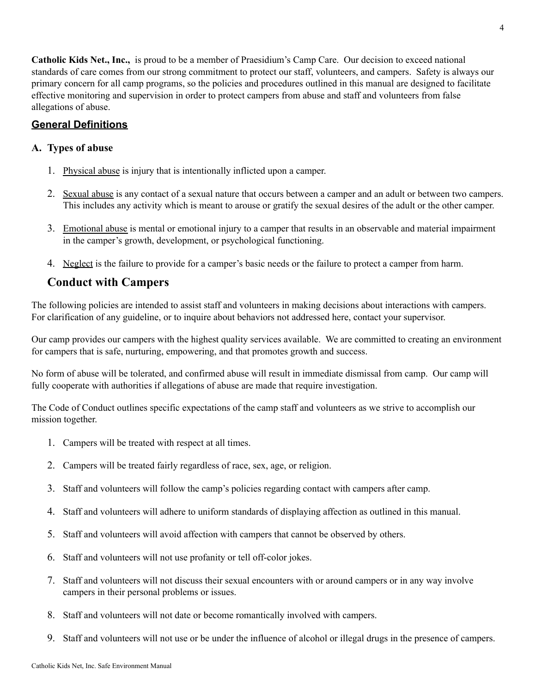**Catholic Kids Net., Inc.,** is proud to be a member of Praesidium's Camp Care. Our decision to exceed national standards of care comes from our strong commitment to protect our staff, volunteers, and campers. Safety is always our primary concern for all camp programs, so the policies and procedures outlined in this manual are designed to facilitate effective monitoring and supervision in order to protect campers from abuse and staff and volunteers from false allegations of abuse.

### **General Definitions**

### **A. Types of abuse**

- 1. Physical abuse is injury that is intentionally inflicted upon a camper.
- 2. Sexual abuse is any contact of a sexual nature that occurs between a camper and an adult or between two campers. This includes any activity which is meant to arouse or gratify the sexual desires of the adult or the other camper.
- 3. Emotional abuse is mental or emotional injury to a camper that results in an observable and material impairment in the camper's growth, development, or psychological functioning.
- 4. Neglect is the failure to provide for a camper's basic needs or the failure to protect a camper from harm.

### **Conduct with Campers**

The following policies are intended to assist staff and volunteers in making decisions about interactions with campers. For clarification of any guideline, or to inquire about behaviors not addressed here, contact your supervisor.

Our camp provides our campers with the highest quality services available. We are committed to creating an environment for campers that is safe, nurturing, empowering, and that promotes growth and success.

No form of abuse will be tolerated, and confirmed abuse will result in immediate dismissal from camp. Our camp will fully cooperate with authorities if allegations of abuse are made that require investigation.

The Code of Conduct outlines specific expectations of the camp staff and volunteers as we strive to accomplish our mission together.

- 1. Campers will be treated with respect at all times.
- 2. Campers will be treated fairly regardless of race, sex, age, or religion.
- 3. Staff and volunteers will follow the camp's policies regarding contact with campers after camp.
- 4. Staff and volunteers will adhere to uniform standards of displaying affection as outlined in this manual.
- 5. Staff and volunteers will avoid affection with campers that cannot be observed by others.
- 6. Staff and volunteers will not use profanity or tell off-color jokes.
- 7. Staff and volunteers will not discuss their sexual encounters with or around campers or in any way involve campers in their personal problems or issues.
- 8. Staff and volunteers will not date or become romantically involved with campers.
- 9. Staff and volunteers will not use or be under the influence of alcohol or illegal drugs in the presence of campers.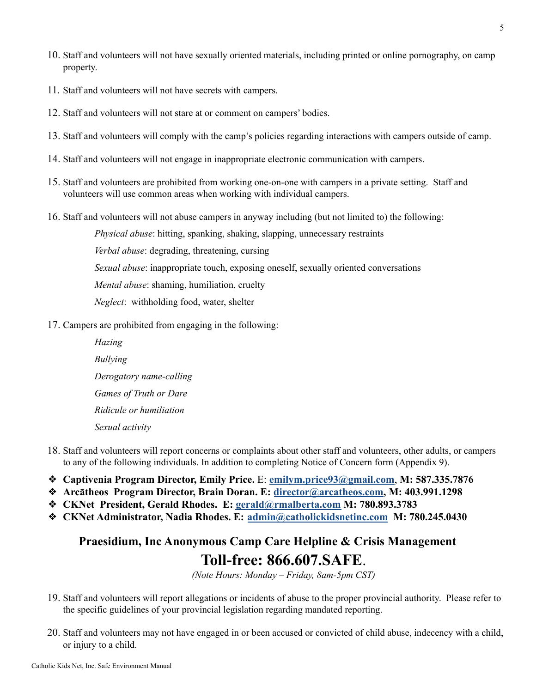- 10. Staff and volunteers will not have sexually oriented materials, including printed or online pornography, on camp property.
- 11. Staff and volunteers will not have secrets with campers.
- 12. Staff and volunteers will not stare at or comment on campers' bodies.
- 13. Staff and volunteers will comply with the camp's policies regarding interactions with campers outside of camp.
- 14. Staff and volunteers will not engage in inappropriate electronic communication with campers.
- 15. Staff and volunteers are prohibited from working one-on-one with campers in a private setting. Staff and volunteers will use common areas when working with individual campers.
- 16. Staff and volunteers will not abuse campers in anyway including (but not limited to) the following:

*Physical abuse*: hitting, spanking, shaking, slapping, unnecessary restraints

*Verbal abuse*: degrading, threatening, cursing

*Sexual abuse*: inappropriate touch, exposing oneself, sexually oriented conversations

*Mental abuse*: shaming, humiliation, cruelty

*Neglect*: withholding food, water, shelter

- 17. Campers are prohibited from engaging in the following:
	- *Hazing Bullying Derogatory name-calling Games of Truth or Dare Ridicule or humiliation Sexual activity*
- 18. Staff and volunteers will report concerns or complaints about other staff and volunteers, other adults, or campers to any of the following individuals. In addition to completing Notice of Concern form (Appendix 9).
- ❖ **Captivenia Program Director, Emily Price.** E: **[emilym.price93@gmail.com](mailto:emilym.price93@gmail.com)**, **M: 587.335.7876**
- ❖ **Arcātheos Program Director, Brain Doran. E: [director@arcatheos.com](mailto:director@arcatheos.com), M: 403.991.1298**
- ❖ **CKNet President, Gerald Rhodes. E: [gerald@rmalberta.com](mailto:gerald@rmalberta.com) M: 780.893.3783**
- ❖ **CKNet Administrator, Nadia Rhodes. E: admin@catholickidsnetinc.com M: 780.245.0430**

# **Praesidium, Inc Anonymous Camp Care Helpline & Crisis Management Toll-free: 866.607.SAFE**.

*(Note Hours: Monday – Friday, 8am-5pm CST)*

- 19. Staff and volunteers will report allegations or incidents of abuse to the proper provincial authority. Please refer to the specific guidelines of your provincial legislation regarding mandated reporting.
- 20. Staff and volunteers may not have engaged in or been accused or convicted of child abuse, indecency with a child, or injury to a child.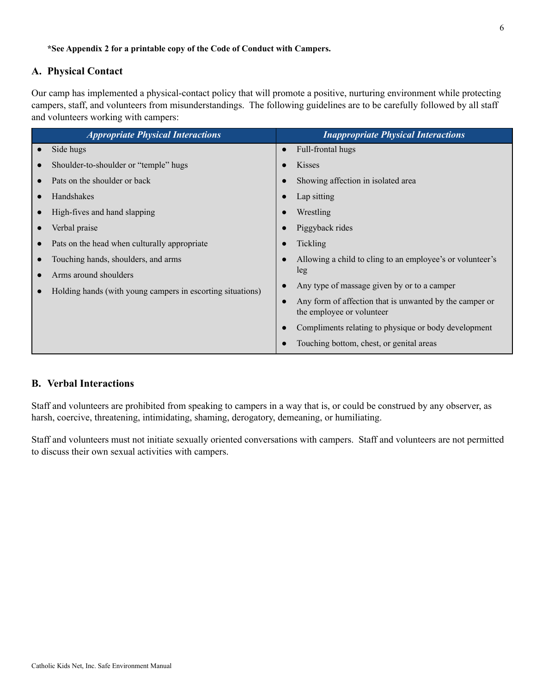### <span id="page-5-0"></span>**A. Physical Contact**

Our camp has implemented a physical-contact policy that will promote a positive, nurturing environment while protecting campers, staff, and volunteers from misunderstandings. The following guidelines are to be carefully followed by all staff and volunteers working with campers:

|  | <b>Appropriate Physical Interactions</b>                   | <b>Inappropriate Physical Interactions</b>                                           |
|--|------------------------------------------------------------|--------------------------------------------------------------------------------------|
|  | Side hugs                                                  | Full-frontal hugs<br>$\bullet$                                                       |
|  | Shoulder-to-shoulder or "temple" hugs                      | Kisses<br>$\bullet$                                                                  |
|  | Pats on the shoulder or back                               | Showing affection in isolated area                                                   |
|  | Handshakes                                                 | Lap sitting<br>$\bullet$                                                             |
|  | High-fives and hand slapping                               | Wrestling                                                                            |
|  | Verbal praise                                              | Piggyback rides                                                                      |
|  | Pats on the head when culturally appropriate               | Tickling<br>$\bullet$                                                                |
|  | Touching hands, shoulders, and arms                        | Allowing a child to cling to an employee's or volunteer's                            |
|  | Arms around shoulders                                      | leg                                                                                  |
|  | Holding hands (with young campers in escorting situations) | Any type of massage given by or to a camper                                          |
|  |                                                            | Any form of affection that is unwanted by the camper or<br>the employee or volunteer |
|  |                                                            | Compliments relating to physique or body development                                 |
|  |                                                            | Touching bottom, chest, or genital areas                                             |

### <span id="page-5-1"></span>**B. Verbal Interactions**

Staff and volunteers are prohibited from speaking to campers in a way that is, or could be construed by any observer, as harsh, coercive, threatening, intimidating, shaming, derogatory, demeaning, or humiliating.

Staff and volunteers must not initiate sexually oriented conversations with campers. Staff and volunteers are not permitted to discuss their own sexual activities with campers.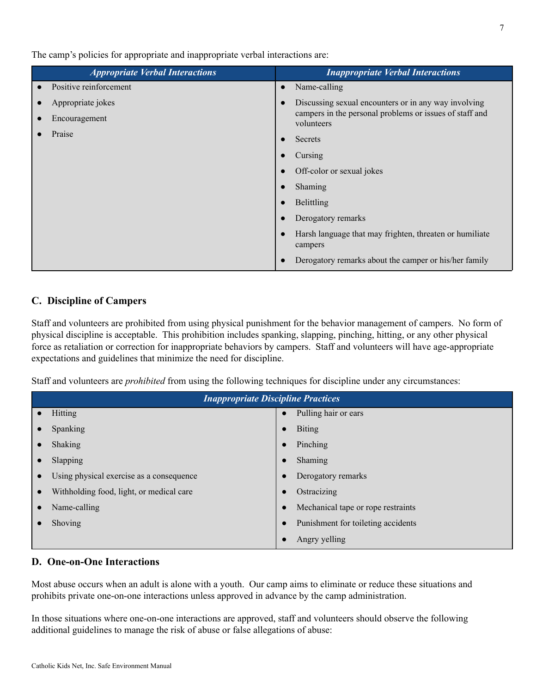The camp's policies for appropriate and inappropriate verbal interactions are:

| <b>Appropriate Verbal Interactions</b> | <b>Inappropriate Verbal Interactions</b>                              |
|----------------------------------------|-----------------------------------------------------------------------|
| Positive reinforcement                 | Name-calling<br>$\bullet$                                             |
| Appropriate jokes                      | Discussing sexual encounters or in any way involving<br>$\bullet$     |
| Encouragement                          | campers in the personal problems or issues of staff and<br>volunteers |
| Praise                                 | Secrets<br>$\bullet$                                                  |
|                                        | Cursing<br>$\bullet$                                                  |
|                                        | Off-color or sexual jokes                                             |
|                                        | Shaming                                                               |
|                                        | Belittling<br>$\bullet$                                               |
|                                        | Derogatory remarks                                                    |
|                                        | Harsh language that may frighten, threaten or humiliate<br>campers    |
|                                        | Derogatory remarks about the camper or his/her family                 |

### <span id="page-6-0"></span>**C. Discipline of Campers**

Staff and volunteers are prohibited from using physical punishment for the behavior management of campers. No form of physical discipline is acceptable. This prohibition includes spanking, slapping, pinching, hitting, or any other physical force as retaliation or correction for inappropriate behaviors by campers. Staff and volunteers will have age-appropriate expectations and guidelines that minimize the need for discipline.

Staff and volunteers are *prohibited* from using the following techniques for discipline under any circumstances:

| <b>Inappropriate Discipline Practices</b> |                                    |  |  |  |
|-------------------------------------------|------------------------------------|--|--|--|
| Hitting                                   | Pulling hair or ears               |  |  |  |
| Spanking                                  | <b>Biting</b>                      |  |  |  |
| <b>Shaking</b>                            | Pinching                           |  |  |  |
| Slapping                                  | Shaming                            |  |  |  |
| Using physical exercise as a consequence  | Derogatory remarks                 |  |  |  |
| Withholding food, light, or medical care  | Ostracizing                        |  |  |  |
| Name-calling                              | Mechanical tape or rope restraints |  |  |  |
| Shoving                                   | Punishment for toileting accidents |  |  |  |
|                                           | Angry yelling                      |  |  |  |

### <span id="page-6-1"></span>**D. One-on-One Interactions**

Most abuse occurs when an adult is alone with a youth. Our camp aims to eliminate or reduce these situations and prohibits private one-on-one interactions unless approved in advance by the camp administration.

In those situations where one-on-one interactions are approved, staff and volunteers should observe the following additional guidelines to manage the risk of abuse or false allegations of abuse: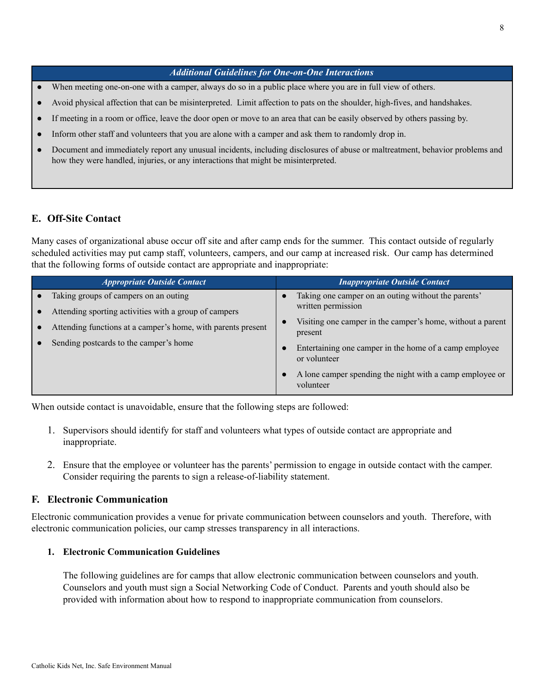### *Additional Guidelines for One-on-One Interactions*

- When meeting one-on-one with a camper, always do so in a public place where you are in full view of others.
- Avoid physical affection that can be misinterpreted. Limit affection to pats on the shoulder, high-fives, and handshakes.
- If meeting in a room or office, leave the door open or move to an area that can be easily observed by others passing by.
- Inform other staff and volunteers that you are alone with a camper and ask them to randomly drop in.
- Document and immediately report any unusual incidents, including disclosures of abuse or maltreatment, behavior problems and how they were handled, injuries, or any interactions that might be misinterpreted.

### <span id="page-7-0"></span>**E. Off-Site Contact**

Many cases of organizational abuse occur off site and after camp ends for the summer. This contact outside of regularly scheduled activities may put camp staff, volunteers, campers, and our camp at increased risk. Our camp has determined that the following forms of outside contact are appropriate and inappropriate:

| <b>Appropriate Outside Contact</b>                           | <b>Inappropriate Outside Contact</b>                                   |
|--------------------------------------------------------------|------------------------------------------------------------------------|
| Taking groups of campers on an outing                        | Taking one camper on an outing without the parents'                    |
| Attending sporting activities with a group of campers        | written permission                                                     |
| Attending functions at a camper's home, with parents present | Visiting one camper in the camper's home, without a parent<br>present  |
| Sending postcards to the camper's home                       | Entertaining one camper in the home of a camp employee<br>or volunteer |
|                                                              | A lone camper spending the night with a camp employee or<br>volunteer  |

When outside contact is unavoidable, ensure that the following steps are followed:

- 1. Supervisors should identify for staff and volunteers what types of outside contact are appropriate and inappropriate.
- 2. Ensure that the employee or volunteer has the parents' permission to engage in outside contact with the camper. Consider requiring the parents to sign a release-of-liability statement.

### <span id="page-7-1"></span>**F. Electronic Communication**

Electronic communication provides a venue for private communication between counselors and youth. Therefore, with electronic communication policies, our camp stresses transparency in all interactions.

### **1. Electronic Communication Guidelines**

The following guidelines are for camps that allow electronic communication between counselors and youth. Counselors and youth must sign a Social Networking Code of Conduct. Parents and youth should also be provided with information about how to respond to inappropriate communication from counselors.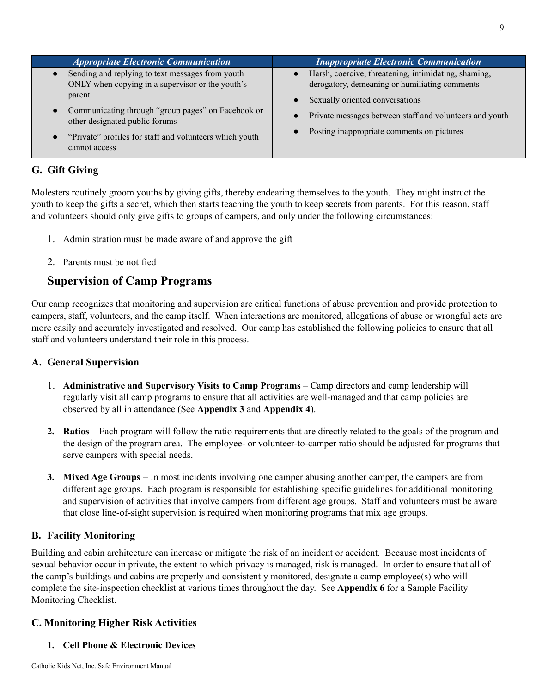| <b>Appropriate Electronic Communication</b>                                                          | <b>Inappropriate Electronic Communication</b>                                                           |
|------------------------------------------------------------------------------------------------------|---------------------------------------------------------------------------------------------------------|
| Sending and replying to text messages from youth<br>ONLY when copying in a supervisor or the youth's | • Harsh, coercive, threatening, intimidating, shaming,<br>derogatory, demeaning or humiliating comments |
| parent                                                                                               | Sexually oriented conversations                                                                         |
| Communicating through "group pages" on Facebook or<br>$\bullet$<br>other designated public forums    | Private messages between staff and volunteers and youth                                                 |
| "Private" profiles for staff and volunteers which youth<br>$\bullet$<br>cannot access                | Posting inappropriate comments on pictures                                                              |

### <span id="page-8-0"></span>**G. Gift Giving**

Molesters routinely groom youths by giving gifts, thereby endearing themselves to the youth. They might instruct the youth to keep the gifts a secret, which then starts teaching the youth to keep secrets from parents. For this reason, staff and volunteers should only give gifts to groups of campers, and only under the following circumstances:

- 1. Administration must be made aware of and approve the gift
- 2. Parents must be notified

### <span id="page-8-1"></span>**Supervision of Camp Programs**

Our camp recognizes that monitoring and supervision are critical functions of abuse prevention and provide protection to campers, staff, volunteers, and the camp itself. When interactions are monitored, allegations of abuse or wrongful acts are more easily and accurately investigated and resolved. Our camp has established the following policies to ensure that all staff and volunteers understand their role in this process.

### <span id="page-8-2"></span>**A. General Supervision**

- 1. **Administrative and Supervisory Visits to Camp Programs** Camp directors and camp leadership will regularly visit all camp programs to ensure that all activities are well-managed and that camp policies are observed by all in attendance (See **Appendix 3** and **Appendix 4**).
- **2. Ratios** Each program will follow the ratio requirements that are directly related to the goals of the program and the design of the program area. The employee- or volunteer-to-camper ratio should be adjusted for programs that serve campers with special needs.
- **3. Mixed Age Groups** In most incidents involving one camper abusing another camper, the campers are from different age groups. Each program is responsible for establishing specific guidelines for additional monitoring and supervision of activities that involve campers from different age groups. Staff and volunteers must be aware that close line-of-sight supervision is required when monitoring programs that mix age groups.

### <span id="page-8-3"></span>**B. Facility Monitoring**

Building and cabin architecture can increase or mitigate the risk of an incident or accident. Because most incidents of sexual behavior occur in private, the extent to which privacy is managed, risk is managed. In order to ensure that all of the camp's buildings and cabins are properly and consistently monitored, designate a camp employee(s) who will complete the site-inspection checklist at various times throughout the day. See **Appendix 6** for a Sample Facility Monitoring Checklist.

### **C. Monitoring Higher Risk Activities**

### **1. Cell Phone & Electronic Devices**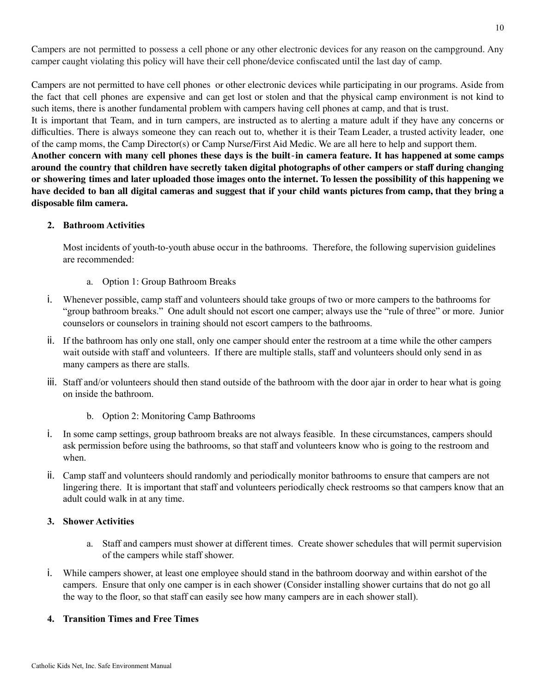Campers are not permitted to possess a cell phone or any other electronic devices for any reason on the campground. Any camper caught violating this policy will have their cell phone/device confiscated until the last day of camp.

Campers are not permitted to have cell phones or other electronic devices while participating in our programs. Aside from the fact that cell phones are expensive and can get lost or stolen and that the physical camp environment is not kind to such items, there is another fundamental problem with campers having cell phones at camp, and that is trust.

It is important that Team, and in turn campers, are instructed as to alerting a mature adult if they have any concerns or difficulties. There is always someone they can reach out to, whether it is their Team Leader, a trusted activity leader, one of the camp moms, the Camp Director(s) or Camp Nurse/First Aid Medic. We are all here to help and support them.

Another concern with many cell phones these days is the built-in camera feature. It has happened at some camps around the country that children have secretly taken digital photographs of other campers or staff during changing or showering times and later uploaded those images onto the internet. To lessen the possibility of this happening we have decided to ban all digital cameras and suggest that if your child wants pictures from camp, that they bring a **disposable film camera.**

### **2. Bathroom Activities**

Most incidents of youth-to-youth abuse occur in the bathrooms. Therefore, the following supervision guidelines are recommended:

- a. Option 1: Group Bathroom Breaks
- i. Whenever possible, camp staff and volunteers should take groups of two or more campers to the bathrooms for "group bathroom breaks." One adult should not escort one camper; always use the "rule of three" or more. Junior counselors or counselors in training should not escort campers to the bathrooms.
- ii. If the bathroom has only one stall, only one camper should enter the restroom at a time while the other campers wait outside with staff and volunteers. If there are multiple stalls, staff and volunteers should only send in as many campers as there are stalls.
- iii. Staff and/or volunteers should then stand outside of the bathroom with the door ajar in order to hear what is going on inside the bathroom.
	- b. Option 2: Monitoring Camp Bathrooms
- i. In some camp settings, group bathroom breaks are not always feasible. In these circumstances, campers should ask permission before using the bathrooms, so that staff and volunteers know who is going to the restroom and when.
- ii. Camp staff and volunteers should randomly and periodically monitor bathrooms to ensure that campers are not lingering there. It is important that staff and volunteers periodically check restrooms so that campers know that an adult could walk in at any time.

### **3. Shower Activities**

- a. Staff and campers must shower at different times. Create shower schedules that will permit supervision of the campers while staff shower.
- i. While campers shower, at least one employee should stand in the bathroom doorway and within earshot of the campers. Ensure that only one camper is in each shower (Consider installing shower curtains that do not go all the way to the floor, so that staff can easily see how many campers are in each shower stall).

### **4. Transition Times and Free Times**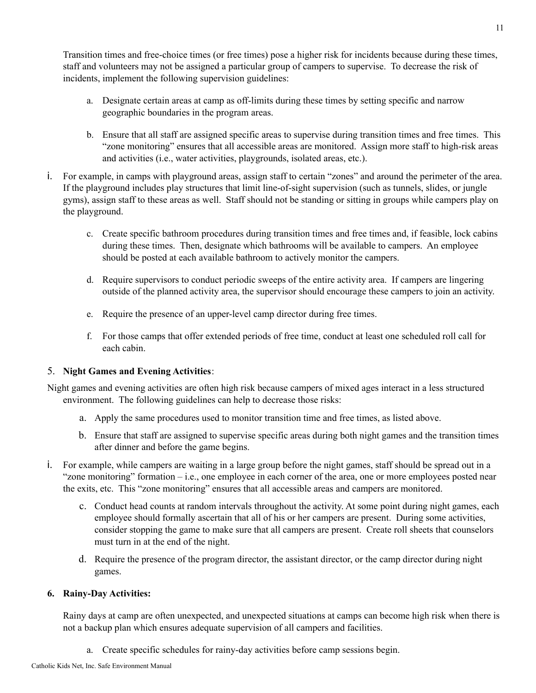Transition times and free-choice times (or free times) pose a higher risk for incidents because during these times, staff and volunteers may not be assigned a particular group of campers to supervise. To decrease the risk of incidents, implement the following supervision guidelines:

- a. Designate certain areas at camp as off-limits during these times by setting specific and narrow geographic boundaries in the program areas.
- b. Ensure that all staff are assigned specific areas to supervise during transition times and free times. This "zone monitoring" ensures that all accessible areas are monitored. Assign more staff to high-risk areas and activities (i.e., water activities, playgrounds, isolated areas, etc.).
- i. For example, in camps with playground areas, assign staff to certain "zones" and around the perimeter of the area. If the playground includes play structures that limit line-of-sight supervision (such as tunnels, slides, or jungle gyms), assign staff to these areas as well. Staff should not be standing or sitting in groups while campers play on the playground.
	- c. Create specific bathroom procedures during transition times and free times and, if feasible, lock cabins during these times. Then, designate which bathrooms will be available to campers. An employee should be posted at each available bathroom to actively monitor the campers.
	- d. Require supervisors to conduct periodic sweeps of the entire activity area. If campers are lingering outside of the planned activity area, the supervisor should encourage these campers to join an activity.
	- e. Require the presence of an upper-level camp director during free times.
	- f. For those camps that offer extended periods of free time, conduct at least one scheduled roll call for each cabin.

### 5. **Night Games and Evening Activities**:

Night games and evening activities are often high risk because campers of mixed ages interact in a less structured environment. The following guidelines can help to decrease those risks:

- a. Apply the same procedures used to monitor transition time and free times, as listed above.
- b. Ensure that staff are assigned to supervise specific areas during both night games and the transition times after dinner and before the game begins.
- i. For example, while campers are waiting in a large group before the night games, staff should be spread out in a "zone monitoring" formation – i.e., one employee in each corner of the area, one or more employees posted near the exits, etc. This "zone monitoring" ensures that all accessible areas and campers are monitored.
	- c. Conduct head counts at random intervals throughout the activity. At some point during night games, each employee should formally ascertain that all of his or her campers are present. During some activities, consider stopping the game to make sure that all campers are present. Create roll sheets that counselors must turn in at the end of the night.
	- d. Require the presence of the program director, the assistant director, or the camp director during night games.

### **6. Rainy-Day Activities:**

Rainy days at camp are often unexpected, and unexpected situations at camps can become high risk when there is not a backup plan which ensures adequate supervision of all campers and facilities.

a. Create specific schedules for rainy-day activities before camp sessions begin.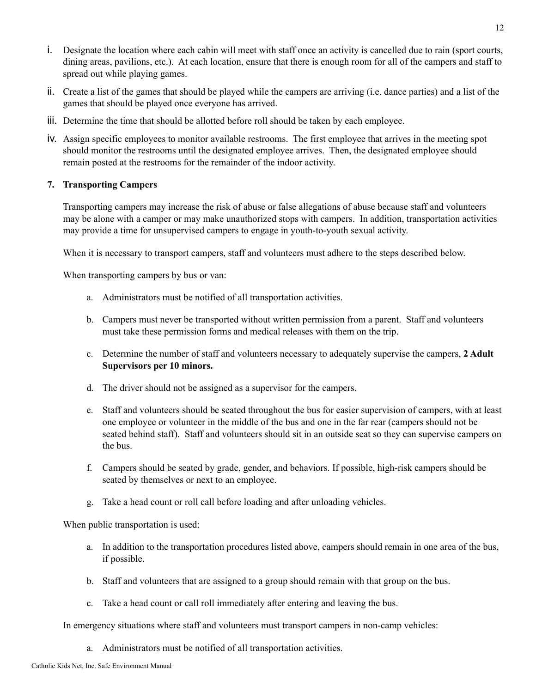- i. Designate the location where each cabin will meet with staff once an activity is cancelled due to rain (sport courts, dining areas, pavilions, etc.). At each location, ensure that there is enough room for all of the campers and staff to spread out while playing games.
- ii. Create a list of the games that should be played while the campers are arriving (i.e. dance parties) and a list of the games that should be played once everyone has arrived.
- iii. Determine the time that should be allotted before roll should be taken by each employee.
- iv. Assign specific employees to monitor available restrooms. The first employee that arrives in the meeting spot should monitor the restrooms until the designated employee arrives. Then, the designated employee should remain posted at the restrooms for the remainder of the indoor activity.

### **7. Transporting Campers**

Transporting campers may increase the risk of abuse or false allegations of abuse because staff and volunteers may be alone with a camper or may make unauthorized stops with campers. In addition, transportation activities may provide a time for unsupervised campers to engage in youth-to-youth sexual activity.

When it is necessary to transport campers, staff and volunteers must adhere to the steps described below.

When transporting campers by bus or van:

- a. Administrators must be notified of all transportation activities.
- b. Campers must never be transported without written permission from a parent. Staff and volunteers must take these permission forms and medical releases with them on the trip.
- c. Determine the number of staff and volunteers necessary to adequately supervise the campers, **2 Adult Supervisors per 10 minors.**
- d. The driver should not be assigned as a supervisor for the campers.
- e. Staff and volunteers should be seated throughout the bus for easier supervision of campers, with at least one employee or volunteer in the middle of the bus and one in the far rear (campers should not be seated behind staff). Staff and volunteers should sit in an outside seat so they can supervise campers on the bus.
- f. Campers should be seated by grade, gender, and behaviors. If possible, high-risk campers should be seated by themselves or next to an employee.
- g. Take a head count or roll call before loading and after unloading vehicles.

When public transportation is used:

- a. In addition to the transportation procedures listed above, campers should remain in one area of the bus, if possible.
- b. Staff and volunteers that are assigned to a group should remain with that group on the bus.
- c. Take a head count or call roll immediately after entering and leaving the bus.

In emergency situations where staff and volunteers must transport campers in non-camp vehicles:

a. Administrators must be notified of all transportation activities.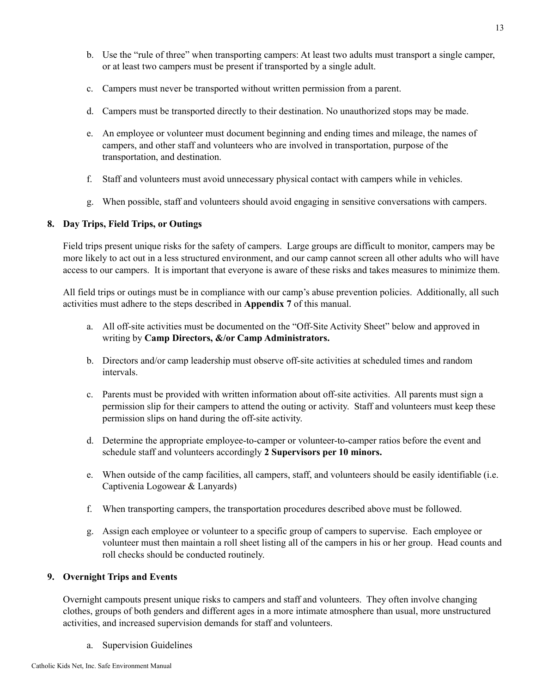- b. Use the "rule of three" when transporting campers: At least two adults must transport a single camper, or at least two campers must be present if transported by a single adult.
- c. Campers must never be transported without written permission from a parent.
- d. Campers must be transported directly to their destination. No unauthorized stops may be made.
- e. An employee or volunteer must document beginning and ending times and mileage, the names of campers, and other staff and volunteers who are involved in transportation, purpose of the transportation, and destination.
- f. Staff and volunteers must avoid unnecessary physical contact with campers while in vehicles.
- g. When possible, staff and volunteers should avoid engaging in sensitive conversations with campers.

### **8. Day Trips, Field Trips, or Outings**

Field trips present unique risks for the safety of campers. Large groups are difficult to monitor, campers may be more likely to act out in a less structured environment, and our camp cannot screen all other adults who will have access to our campers. It is important that everyone is aware of these risks and takes measures to minimize them.

All field trips or outings must be in compliance with our camp's abuse prevention policies. Additionally, all such activities must adhere to the steps described in **Appendix 7** of this manual.

- a. All off-site activities must be documented on the "Off-Site Activity Sheet" below and approved in writing by **Camp Directors, &/or Camp Administrators.**
- b. Directors and/or camp leadership must observe off-site activities at scheduled times and random intervals.
- c. Parents must be provided with written information about off-site activities. All parents must sign a permission slip for their campers to attend the outing or activity. Staff and volunteers must keep these permission slips on hand during the off-site activity.
- d. Determine the appropriate employee-to-camper or volunteer-to-camper ratios before the event and schedule staff and volunteers accordingly **2 Supervisors per 10 minors.**
- e. When outside of the camp facilities, all campers, staff, and volunteers should be easily identifiable (i.e. Captivenia Logowear & Lanyards)
- f. When transporting campers, the transportation procedures described above must be followed.
- g. Assign each employee or volunteer to a specific group of campers to supervise. Each employee or volunteer must then maintain a roll sheet listing all of the campers in his or her group. Head counts and roll checks should be conducted routinely.

### **9. Overnight Trips and Events**

Overnight campouts present unique risks to campers and staff and volunteers. They often involve changing clothes, groups of both genders and different ages in a more intimate atmosphere than usual, more unstructured activities, and increased supervision demands for staff and volunteers.

a. Supervision Guidelines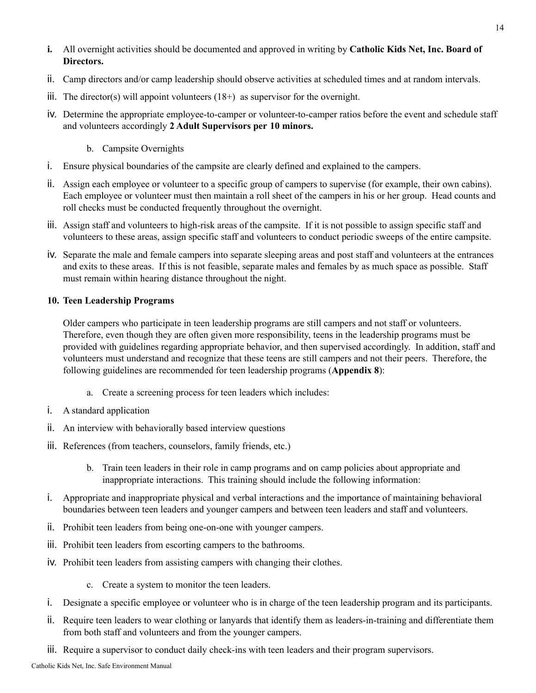- **i.** All overnight activities should be documented and approved in writing by **Catholic Kids Net, Inc. Board of Directors.**
- ii. Camp directors and/or camp leadership should observe activities at scheduled times and at random intervals.
- iii. The director(s) will appoint volunteers  $(18+)$  as supervisor for the overnight.
- iv. Determine the appropriate employee-to-camper or volunteer-to-camper ratios before the event and schedule staff and volunteers accordingly **2 Adult Supervisors per 10 minors.**
	- b. Campsite Overnights
- i. Ensure physical boundaries of the campsite are clearly defined and explained to the campers.
- ii. Assign each employee or volunteer to a specific group of campers to supervise (for example, their own cabins). Each employee or volunteer must then maintain a roll sheet of the campers in his or her group. Head counts and roll checks must be conducted frequently throughout the overnight.
- iii. Assign staff and volunteers to high-risk areas of the campsite. If it is not possible to assign specific staff and volunteers to these areas, assign specific staff and volunteers to conduct periodic sweeps of the entire campsite.
- iv. Separate the male and female campers into separate sleeping areas and post staff and volunteers at the entrances and exits to these areas. If this is not feasible, separate males and females by as much space as possible. Staff must remain within hearing distance throughout the night.

### **10. Teen Leadership Programs**

Older campers who participate in teen leadership programs are still campers and not staff or volunteers. Therefore, even though they are often given more responsibility, teens in the leadership programs must be provided with guidelines regarding appropriate behavior, and then supervised accordingly. In addition, staff and volunteers must understand and recognize that these teens are still campers and not their peers. Therefore, the following guidelines are recommended for teen leadership programs (**Appendix 8**):

- a. Create a screening process for teen leaders which includes:
- i. A standard application
- ii. An interview with behaviorally based interview questions
- iii. References (from teachers, counselors, family friends, etc.)
	- b. Train teen leaders in their role in camp programs and on camp policies about appropriate and inappropriate interactions. This training should include the following information:
- i. Appropriate and inappropriate physical and verbal interactions and the importance of maintaining behavioral boundaries between teen leaders and younger campers and between teen leaders and staff and volunteers.
- ii. Prohibit teen leaders from being one-on-one with younger campers.
- iii. Prohibit teen leaders from escorting campers to the bathrooms.
- iv. Prohibit teen leaders from assisting campers with changing their clothes.
	- c. Create a system to monitor the teen leaders.
- i. Designate a specific employee or volunteer who is in charge of the teen leadership program and its participants.
- ii. Require teen leaders to wear clothing or lanyards that identify them as leaders-in-training and differentiate them from both staff and volunteers and from the younger campers.
- iii. Require a supervisor to conduct daily check-ins with teen leaders and their program supervisors.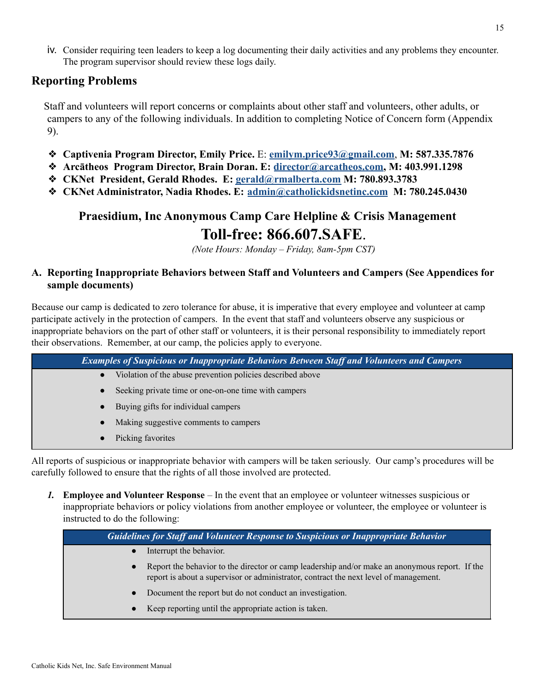iv. Consider requiring teen leaders to keep a log documenting their daily activities and any problems they encounter. The program supervisor should review these logs daily.

## <span id="page-14-0"></span>**Reporting Problems**

Staff and volunteers will report concerns or complaints about other staff and volunteers, other adults, or campers to any of the following individuals. In addition to completing Notice of Concern form (Appendix 9).

- ❖ **Captivenia Program Director, Emily Price.** E: **[emilym.price93@gmail.com](mailto:emilym.price93@gmail.com)**, **M: 587.335.7876**
- ❖ **Arcātheos Program Director, Brain Doran. E: [director@arcatheos.com](mailto:director@arcatheos.com), M: 403.991.1298**
- ❖ **CKNet President, Gerald Rhodes. E: [gerald@rmalberta.com](mailto:gerald@rmalberta.com) M: 780.893.3783**
- ❖ **CKNet Administrator, Nadia Rhodes. E: admin@catholickidsnetinc.com M: 780.245.0430**

# **Praesidium, Inc Anonymous Camp Care Helpline & Crisis Management Toll-free: 866.607.SAFE**.

*(Note Hours: Monday – Friday, 8am-5pm CST)*

### **A. Reporting Inappropriate Behaviors between Staff and Volunteers and Campers (See Appendices for sample documents)**

Because our camp is dedicated to zero tolerance for abuse, it is imperative that every employee and volunteer at camp participate actively in the protection of campers. In the event that staff and volunteers observe any suspicious or inappropriate behaviors on the part of other staff or volunteers, it is their personal responsibility to immediately report their observations. Remember, at our camp, the policies apply to everyone.

| <b>Examples of Suspicious or Inappropriate Behaviors Between Staff and Volunteers and Campers</b> |                                                            |  |
|---------------------------------------------------------------------------------------------------|------------------------------------------------------------|--|
|                                                                                                   | Violation of the abuse prevention policies described above |  |
|                                                                                                   | Seeking private time or one-on-one time with campers       |  |
|                                                                                                   | Buying gifts for individual campers                        |  |
|                                                                                                   | Making suggestive comments to campers                      |  |
|                                                                                                   | Picking favorites                                          |  |

All reports of suspicious or inappropriate behavior with campers will be taken seriously. Our camp's procedures will be carefully followed to ensure that the rights of all those involved are protected.

*1.* **Employee and Volunteer Response** – In the event that an employee or volunteer witnesses suspicious or inappropriate behaviors or policy violations from another employee or volunteer, the employee or volunteer is instructed to do the following:

| <b>Guidelines for Staff and Volunteer Response to Suspicious or Inappropriate Behavior</b>                                                                                                           |                                                          |  |  |  |
|------------------------------------------------------------------------------------------------------------------------------------------------------------------------------------------------------|----------------------------------------------------------|--|--|--|
|                                                                                                                                                                                                      | Interrupt the behavior.                                  |  |  |  |
| Report the behavior to the director or camp leadership and/or make an anonymous report. If the<br>$\bullet$<br>report is about a supervisor or administrator, contract the next level of management. |                                                          |  |  |  |
| $\bullet$                                                                                                                                                                                            | Document the report but do not conduct an investigation. |  |  |  |
| $\bullet$                                                                                                                                                                                            | Keep reporting until the appropriate action is taken.    |  |  |  |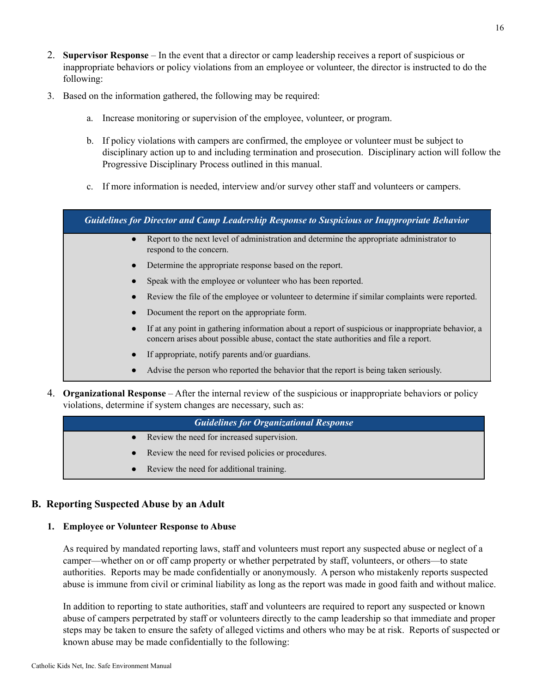- 2. **Supervisor Response** In the event that a director or camp leadership receives a report of suspicious or inappropriate behaviors or policy violations from an employee or volunteer, the director is instructed to do the following:
- 3. Based on the information gathered, the following may be required:
	- a. Increase monitoring or supervision of the employee, volunteer, or program.
	- b. If policy violations with campers are confirmed, the employee or volunteer must be subject to disciplinary action up to and including termination and prosecution. Disciplinary action will follow the Progressive Disciplinary Process outlined in this manual.
	- c. If more information is needed, interview and/or survey other staff and volunteers or campers.

*Guidelines for Director and Camp Leadership Response to Suspicious or Inappropriate Behavior*

- Report to the next level of administration and determine the appropriate administrator to respond to the concern.
- Determine the appropriate response based on the report.
- Speak with the employee or volunteer who has been reported.
- Review the file of the employee or volunteer to determine if similar complaints were reported.
- Document the report on the appropriate form.
- If at any point in gathering information about a report of suspicious or inappropriate behavior, a concern arises about possible abuse, contact the state authorities and file a report.
- If appropriate, notify parents and/or guardians.
- Advise the person who reported the behavior that the report is being taken seriously.
- 4. **Organizational Response** After the internal review of the suspicious or inappropriate behaviors or policy violations, determine if system changes are necessary, such as:

### *Guidelines for Organizational Response*

- Review the need for increased supervision.
- Review the need for revised policies or procedures.
- Review the need for additional training.

### **B. Reporting Suspected Abuse by an Adult**

### **1. Employee or Volunteer Response to Abuse**

As required by mandated reporting laws, staff and volunteers must report any suspected abuse or neglect of a camper—whether on or off camp property or whether perpetrated by staff, volunteers, or others—to state authorities. Reports may be made confidentially or anonymously. A person who mistakenly reports suspected abuse is immune from civil or criminal liability as long as the report was made in good faith and without malice.

In addition to reporting to state authorities, staff and volunteers are required to report any suspected or known abuse of campers perpetrated by staff or volunteers directly to the camp leadership so that immediate and proper steps may be taken to ensure the safety of alleged victims and others who may be at risk. Reports of suspected or known abuse may be made confidentially to the following: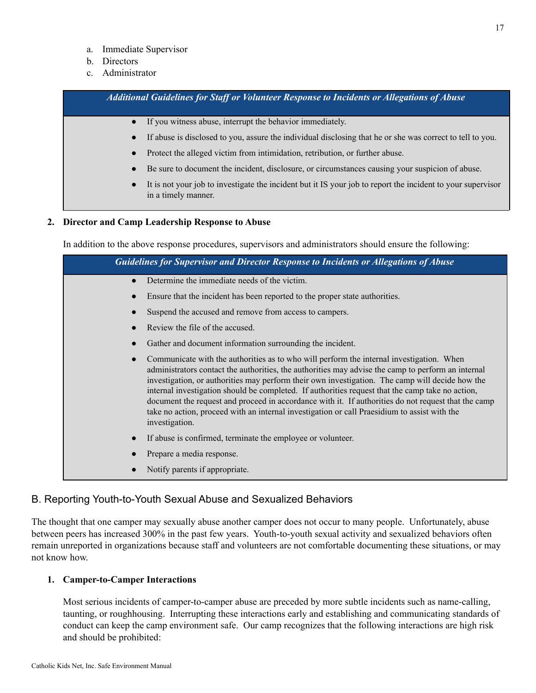- b. Directors
- c. Administrator

*Additional Guidelines for Staf or Volunteer Response to Incidents or Allegations of Abuse*

- If you witness abuse, interrupt the behavior immediately.
- If abuse is disclosed to you, assure the individual disclosing that he or she was correct to tell to you.
- Protect the alleged victim from intimidation, retribution, or further abuse.
- Be sure to document the incident, disclosure, or circumstances causing your suspicion of abuse.
- **●** It is not your job to investigate the incident but it IS your job to report the incident to your supervisor in a timely manner.

### **2. Director and Camp Leadership Response to Abuse**

In addition to the above response procedures, supervisors and administrators should ensure the following:

| <b>Guidelines for Supervisor and Director Response to Incidents or Allegations of Abuse</b>                                                                                                                                                                                                                                                                                                                                                                                                                                                                                                                                    |
|--------------------------------------------------------------------------------------------------------------------------------------------------------------------------------------------------------------------------------------------------------------------------------------------------------------------------------------------------------------------------------------------------------------------------------------------------------------------------------------------------------------------------------------------------------------------------------------------------------------------------------|
| Determine the immediate needs of the victim.<br>$\bullet$                                                                                                                                                                                                                                                                                                                                                                                                                                                                                                                                                                      |
| Ensure that the incident has been reported to the proper state authorities.                                                                                                                                                                                                                                                                                                                                                                                                                                                                                                                                                    |
| Suspend the accused and remove from access to campers.                                                                                                                                                                                                                                                                                                                                                                                                                                                                                                                                                                         |
| Review the file of the accused.                                                                                                                                                                                                                                                                                                                                                                                                                                                                                                                                                                                                |
| Gather and document information surrounding the incident.                                                                                                                                                                                                                                                                                                                                                                                                                                                                                                                                                                      |
| Communicate with the authorities as to who will perform the internal investigation. When<br>administrators contact the authorities, the authorities may advise the camp to perform an internal<br>investigation, or authorities may perform their own investigation. The camp will decide how the<br>internal investigation should be completed. If authorities request that the camp take no action,<br>document the request and proceed in accordance with it. If authorities do not request that the camp<br>take no action, proceed with an internal investigation or call Praesidium to assist with the<br>investigation. |
| If abuse is confirmed, terminate the employee or volunteer.                                                                                                                                                                                                                                                                                                                                                                                                                                                                                                                                                                    |
| Prepare a media response.                                                                                                                                                                                                                                                                                                                                                                                                                                                                                                                                                                                                      |
| Notify parents if appropriate.                                                                                                                                                                                                                                                                                                                                                                                                                                                                                                                                                                                                 |

### B. Reporting Youth-to-Youth Sexual Abuse and Sexualized Behaviors

The thought that one camper may sexually abuse another camper does not occur to many people. Unfortunately, abuse between peers has increased 300% in the past few years. Youth-to-youth sexual activity and sexualized behaviors often remain unreported in organizations because staff and volunteers are not comfortable documenting these situations, or may not know how.

### **1. Camper-to-Camper Interactions**

Most serious incidents of camper-to-camper abuse are preceded by more subtle incidents such as name-calling, taunting, or roughhousing. Interrupting these interactions early and establishing and communicating standards of conduct can keep the camp environment safe. Our camp recognizes that the following interactions are high risk and should be prohibited: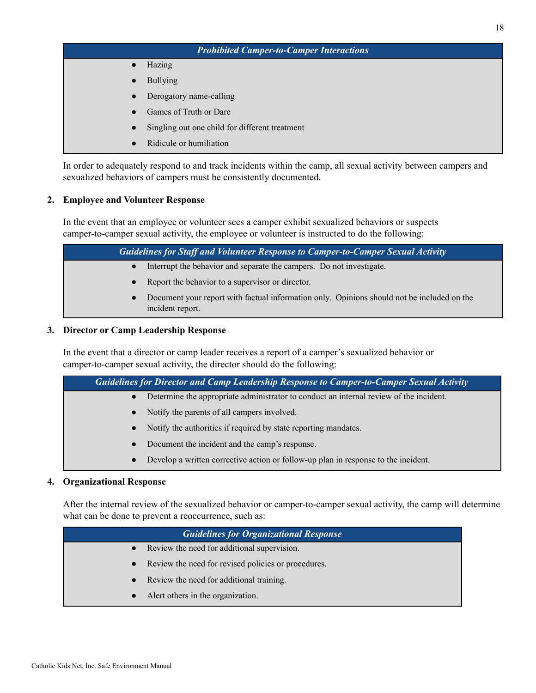### *Prohibited Camper-to-Camper Interactions*

- Hazing
- **Bullying**
- Derogatory name-calling
- Games of Truth or Dare
- Singling out one child for different treatment
- **Ridicule or humiliation**

In order to adequately respond to and track incidents within the camp, all sexual activity between campers and sexualized behaviors of campers must be consistently documented.

### **2. Employee and Volunteer Response**

In the event that an employee or volunteer sees a camper exhibit sexualized behaviors or suspects camper-to-camper sexual activity, the employee or volunteer is instructed to do the following:

| <b>Guidelines for Staff and Volunteer Response to Camper-to-Camper Sexual Activity</b> |                                                                                                                |  |  |
|----------------------------------------------------------------------------------------|----------------------------------------------------------------------------------------------------------------|--|--|
|                                                                                        | Interrupt the behavior and separate the campers. Do not investigate.                                           |  |  |
| $\bullet$                                                                              | Report the behavior to a supervisor or director.                                                               |  |  |
|                                                                                        | Document your report with factual information only. Opinions should not be included on the<br>incident report. |  |  |

### **3. Director or Camp Leadership Response**

In the event that a director or camp leader receives a report of a camper's sexualized behavior or camper-to-camper sexual activity, the director should do the following:

*Guidelines for Director and Camp Leadership Response to Camper-to-Camper Sexual Activity*

- Determine the appropriate administrator to conduct an internal review of the incident.
- Notify the parents of all campers involved.
- Notify the authorities if required by state reporting mandates.
- Document the incident and the camp's response.
- Develop a written corrective action or follow-up plan in response to the incident.

### **4. Organizational Response**

After the internal review of the sexualized behavior or camper-to-camper sexual activity, the camp will determine what can be done to prevent a reoccurrence, such as:

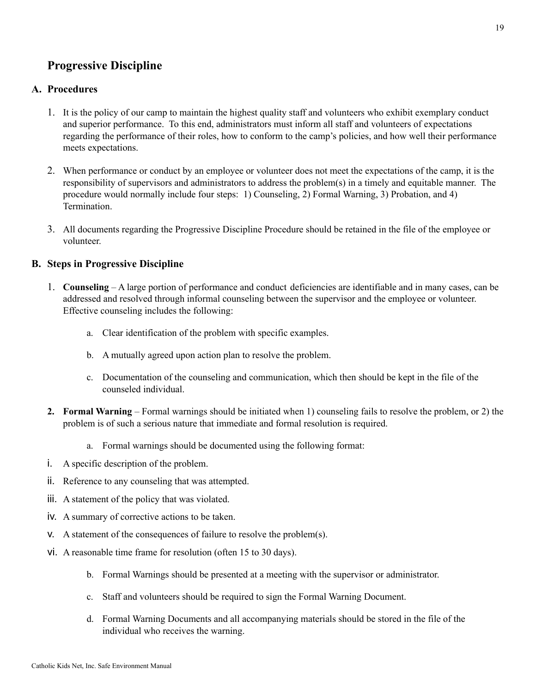## **Progressive Discipline**

### **A. Procedures**

- 1. It is the policy of our camp to maintain the highest quality staff and volunteers who exhibit exemplary conduct and superior performance. To this end, administrators must inform all staff and volunteers of expectations regarding the performance of their roles, how to conform to the camp's policies, and how well their performance meets expectations.
- 2. When performance or conduct by an employee or volunteer does not meet the expectations of the camp, it is the responsibility of supervisors and administrators to address the problem(s) in a timely and equitable manner. The procedure would normally include four steps: 1) Counseling, 2) Formal Warning, 3) Probation, and 4) **Termination**
- 3. All documents regarding the Progressive Discipline Procedure should be retained in the file of the employee or volunteer.

### **B. Steps in Progressive Discipline**

- 1. **Counseling** A large portion of performance and conduct deficiencies are identifiable and in many cases, can be addressed and resolved through informal counseling between the supervisor and the employee or volunteer. Effective counseling includes the following:
	- a. Clear identification of the problem with specific examples.
	- b. A mutually agreed upon action plan to resolve the problem.
	- c. Documentation of the counseling and communication, which then should be kept in the file of the counseled individual.
- **2. Formal Warning** Formal warnings should be initiated when 1) counseling fails to resolve the problem, or 2) the problem is of such a serious nature that immediate and formal resolution is required.
	- a. Formal warnings should be documented using the following format:
- i. A specific description of the problem.
- ii. Reference to any counseling that was attempted.
- iii. A statement of the policy that was violated.
- iv. A summary of corrective actions to be taken.
- v. A statement of the consequences of failure to resolve the problem(s).
- vi. A reasonable time frame for resolution (often 15 to 30 days).
	- b. Formal Warnings should be presented at a meeting with the supervisor or administrator.
	- c. Staff and volunteers should be required to sign the Formal Warning Document.
	- d. Formal Warning Documents and all accompanying materials should be stored in the file of the individual who receives the warning.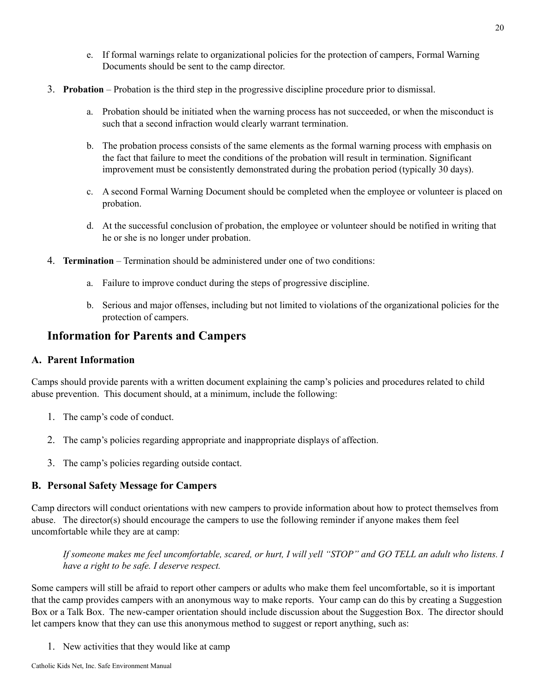- e. If formal warnings relate to organizational policies for the protection of campers, Formal Warning Documents should be sent to the camp director.
- 3. **Probation** Probation is the third step in the progressive discipline procedure prior to dismissal.
	- a. Probation should be initiated when the warning process has not succeeded, or when the misconduct is such that a second infraction would clearly warrant termination.
	- b. The probation process consists of the same elements as the formal warning process with emphasis on the fact that failure to meet the conditions of the probation will result in termination. Significant improvement must be consistently demonstrated during the probation period (typically 30 days).
	- c. A second Formal Warning Document should be completed when the employee or volunteer is placed on probation.
	- d. At the successful conclusion of probation, the employee or volunteer should be notified in writing that he or she is no longer under probation.
- 4. **Termination** Termination should be administered under one of two conditions:
	- a. Failure to improve conduct during the steps of progressive discipline.
	- b. Serious and major offenses, including but not limited to violations of the organizational policies for the protection of campers.

### **Information for Parents and Campers**

### <span id="page-19-0"></span>**A. Parent Information**

Camps should provide parents with a written document explaining the camp's policies and procedures related to child abuse prevention. This document should, at a minimum, include the following:

- 1. The camp's code of conduct.
- 2. The camp's policies regarding appropriate and inappropriate displays of affection.
- 3. The camp's policies regarding outside contact.

### <span id="page-19-1"></span>**B. Personal Safety Message for Campers**

Camp directors will conduct orientations with new campers to provide information about how to protect themselves from abuse. The director(s) should encourage the campers to use the following reminder if anyone makes them feel uncomfortable while they are at camp:

If someone makes me feel uncomfortable, scared, or hurt, I will yell "STOP" and GO TELL an adult who listens. I *have a right to be safe. I deserve respect.*

Some campers will still be afraid to report other campers or adults who make them feel uncomfortable, so it is important that the camp provides campers with an anonymous way to make reports. Your camp can do this by creating a Suggestion Box or a Talk Box. The new-camper orientation should include discussion about the Suggestion Box. The director should let campers know that they can use this anonymous method to suggest or report anything, such as:

1. New activities that they would like at camp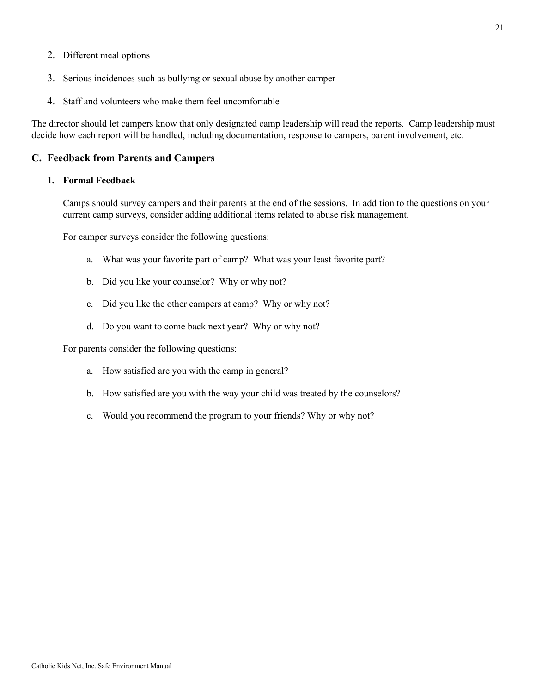- 2. Different meal options
- 3. Serious incidences such as bullying or sexual abuse by another camper
- 4. Staff and volunteers who make them feel uncomfortable

The director should let campers know that only designated camp leadership will read the reports. Camp leadership must decide how each report will be handled, including documentation, response to campers, parent involvement, etc.

### <span id="page-20-0"></span>**C. Feedback from Parents and Campers**

### **1. Formal Feedback**

Camps should survey campers and their parents at the end of the sessions. In addition to the questions on your current camp surveys, consider adding additional items related to abuse risk management.

For camper surveys consider the following questions:

- a. What was your favorite part of camp? What was your least favorite part?
- b. Did you like your counselor? Why or why not?
- c. Did you like the other campers at camp? Why or why not?
- d. Do you want to come back next year? Why or why not?

For parents consider the following questions:

- a. How satisfied are you with the camp in general?
- b. How satisfied are you with the way your child was treated by the counselors?
- c. Would you recommend the program to your friends? Why or why not?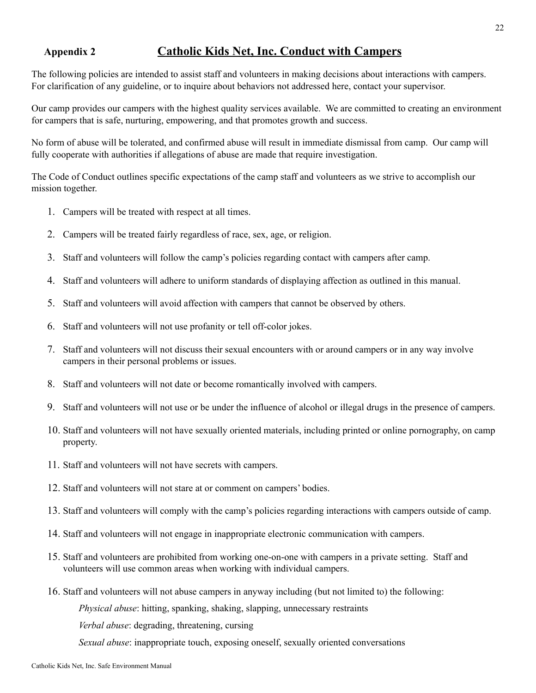### <span id="page-21-0"></span>**Appendix 2 Catholic Kids Net, Inc. Conduct with Campers**

The following policies are intended to assist staff and volunteers in making decisions about interactions with campers. For clarification of any guideline, or to inquire about behaviors not addressed here, contact your supervisor.

Our camp provides our campers with the highest quality services available. We are committed to creating an environment for campers that is safe, nurturing, empowering, and that promotes growth and success.

No form of abuse will be tolerated, and confirmed abuse will result in immediate dismissal from camp. Our camp will fully cooperate with authorities if allegations of abuse are made that require investigation.

The Code of Conduct outlines specific expectations of the camp staff and volunteers as we strive to accomplish our mission together.

- 1. Campers will be treated with respect at all times.
- 2. Campers will be treated fairly regardless of race, sex, age, or religion.
- 3. Staff and volunteers will follow the camp's policies regarding contact with campers after camp.
- 4. Staff and volunteers will adhere to uniform standards of displaying affection as outlined in this manual.
- 5. Staff and volunteers will avoid affection with campers that cannot be observed by others.
- 6. Staff and volunteers will not use profanity or tell off-color jokes.
- 7. Staff and volunteers will not discuss their sexual encounters with or around campers or in any way involve campers in their personal problems or issues.
- 8. Staff and volunteers will not date or become romantically involved with campers.
- 9. Staff and volunteers will not use or be under the influence of alcohol or illegal drugs in the presence of campers.
- 10. Staff and volunteers will not have sexually oriented materials, including printed or online pornography, on camp property.
- 11. Staff and volunteers will not have secrets with campers.
- 12. Staff and volunteers will not stare at or comment on campers' bodies.
- 13. Staff and volunteers will comply with the camp's policies regarding interactions with campers outside of camp.
- 14. Staff and volunteers will not engage in inappropriate electronic communication with campers.
- 15. Staff and volunteers are prohibited from working one-on-one with campers in a private setting. Staff and volunteers will use common areas when working with individual campers.
- 16. Staff and volunteers will not abuse campers in anyway including (but not limited to) the following:

*Physical abuse*: hitting, spanking, shaking, slapping, unnecessary restraints

*Verbal abuse*: degrading, threatening, cursing

*Sexual abuse*: inappropriate touch, exposing oneself, sexually oriented conversations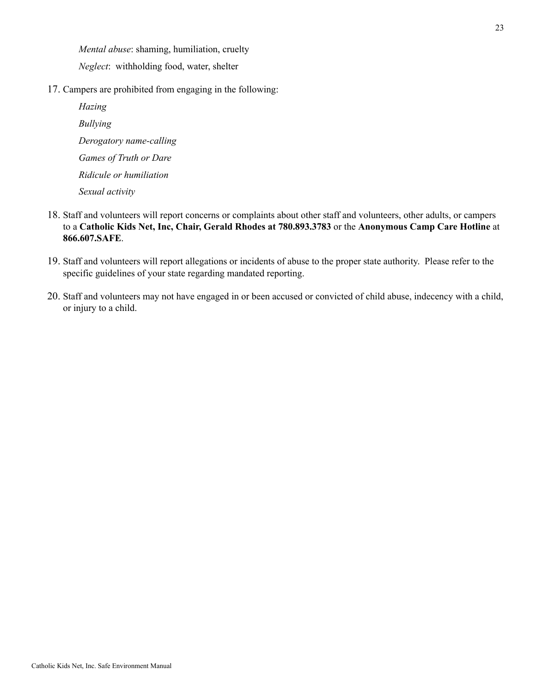*Mental abuse*: shaming, humiliation, cruelty *Neglect*: withholding food, water, shelter

- 17. Campers are prohibited from engaging in the following:
	- *Hazing Bullying Derogatory name-calling Games of Truth or Dare Ridicule or humiliation Sexual activity*
- 18. Staff and volunteers will report concerns or complaints about other staff and volunteers, other adults, or campers to a **Catholic Kids Net, Inc, Chair, Gerald Rhodes at 780.893.3783** or the **Anonymous Camp Care Hotline** at **866.607.SAFE**.
- 19. Staff and volunteers will report allegations or incidents of abuse to the proper state authority. Please refer to the specific guidelines of your state regarding mandated reporting.
- 20. Staff and volunteers may not have engaged in or been accused or convicted of child abuse, indecency with a child, or injury to a child.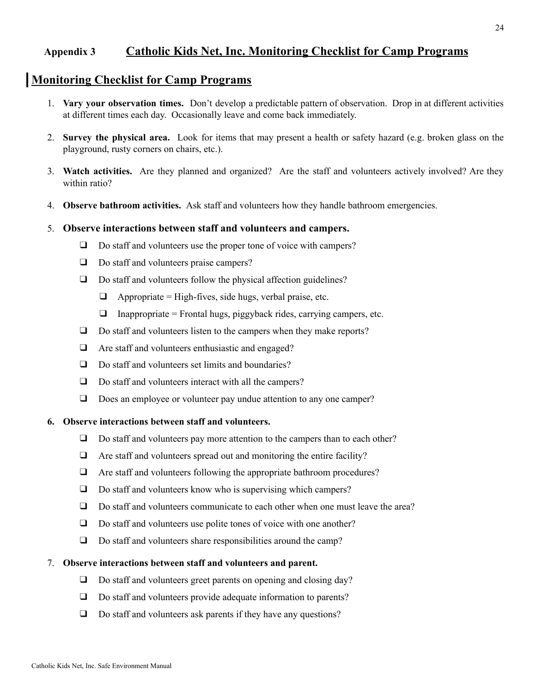### <span id="page-23-0"></span>**Appendix 3 Catholic Kids Net, Inc. Monitoring Checklist for Camp Programs**

### **Monitoring Checklist for Camp Programs**

- 1. **Vary your observation times.** Don't develop a predictable pattern of observation. Drop in at different activities at different times each day. Occasionally leave and come back immediately.
- 2. **Survey the physical area.** Look for items that may present a health or safety hazard (e.g. broken glass on the playground, rusty corners on chairs, etc.).
- 3. **Watch activities.** Are they planned and organized? Are the staff and volunteers actively involved? Are they within ratio?
- 4. **Observe bathroom activities.** Ask staff and volunteers how they handle bathroom emergencies.

### 5. **Observe interactions between staff and volunteers and campers.**

- ❑ Do staff and volunteers use the proper tone of voice with campers?
- ❑ Do staff and volunteers praise campers?
- ❑ Do staff and volunteers follow the physical affection guidelines?
	- $\Box$  Appropriate = High-fives, side hugs, verbal praise, etc.
	- $\Box$  Inappropriate = Frontal hugs, piggyback rides, carrying campers, etc.
- ❑ Do staff and volunteers listen to the campers when they make reports?
- ❑ Are staff and volunteers enthusiastic and engaged?
- ❑ Do staff and volunteers set limits and boundaries?
- ❑ Do staff and volunteers interact with all the campers?
- ❑ Does an employee or volunteer pay undue attention to any one camper?

### **6. Observe interactions between staff and volunteers.**

- ❑ Do staff and volunteers pay more attention to the campers than to each other?
- ❑ Are staff and volunteers spread out and monitoring the entire facility?
- ❑ Are staff and volunteers following the appropriate bathroom procedures?
- ❑ Do staff and volunteers know who is supervising which campers?
- ❑ Do staff and volunteers communicate to each other when one must leave the area?
- □ Do staff and volunteers use polite tones of voice with one another?
- ❑ Do staff and volunteers share responsibilities around the camp?

### 7. **Observe interactions between staff and volunteers and parent.**

- ❑ Do staff and volunteers greet parents on opening and closing day?
- ❑ Do staff and volunteers provide adequate information to parents?
- ❑ Do staff and volunteers ask parents if they have any questions?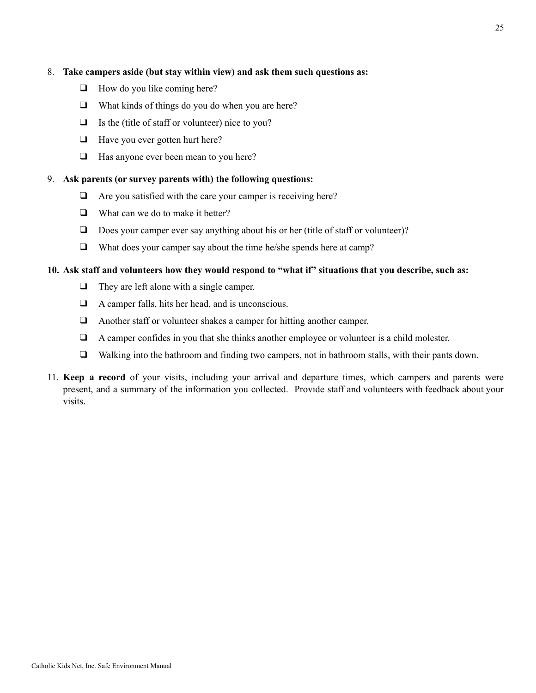### 8. **Take campers aside (but stay within view) and ask them such questions as:**

- $\Box$  How do you like coming here?
- ❑ What kinds of things do you do when you are here?
- $\Box$  Is the (title of staff or volunteer) nice to you?
- ❑ Have you ever gotten hurt here?
- ❑ Has anyone ever been mean to you here?

### 9. **Ask parents (or survey parents with) the following questions:**

- ❑ Are you satisfied with the care your camper is receiving here?
- ❑ What can we do to make it better?
- ❑ Does your camper ever say anything about his or her (title of staff or volunteer)?
- ❑ What does your camper say about the time he/she spends here at camp?

### 10. Ask staff and volunteers how they would respond to "what if" situations that you describe, such as:

- ❑ They are left alone with a single camper.
- ❑ A camper falls, hits her head, and is unconscious.
- ❑ Another staff or volunteer shakes a camper for hitting another camper.
- ❑ A camper confides in you that she thinks another employee or volunteer is a child molester.
- ❑ Walking into the bathroom and finding two campers, not in bathroom stalls, with their pants down.
- 11. **Keep a record** of your visits, including your arrival and departure times, which campers and parents were present, and a summary of the information you collected. Provide staff and volunteers with feedback about your visits.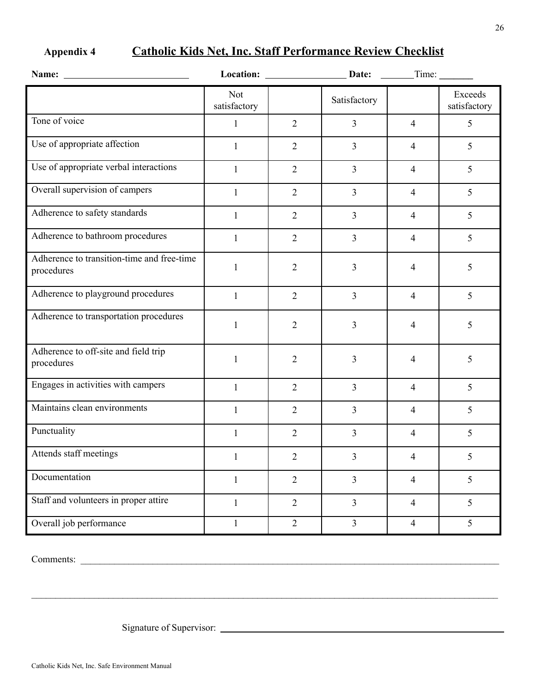# <span id="page-25-0"></span>**Appendix 4 Catholic Kids Net, Inc. Staff Performance Review Checklist**

|                                                          |                            |                | Location: _________________________Date: _________Time: |                          |                         |
|----------------------------------------------------------|----------------------------|----------------|---------------------------------------------------------|--------------------------|-------------------------|
|                                                          | <b>Not</b><br>satisfactory |                | Satisfactory                                            |                          | Exceeds<br>satisfactory |
| Tone of voice                                            | 1                          | $\overline{2}$ | 3                                                       | $\overline{4}$           | 5                       |
| Use of appropriate affection                             | 1                          | $\overline{2}$ | $\overline{3}$                                          | $\overline{4}$           | 5                       |
| Use of appropriate verbal interactions                   | 1                          | $\overline{2}$ | $\overline{3}$                                          | 4                        | 5                       |
| Overall supervision of campers                           | $\mathbf{1}$               | $\overline{2}$ | $\overline{3}$                                          | $\overline{4}$           | 5                       |
| Adherence to safety standards                            | $\mathbf{1}$               | $\overline{2}$ | $\overline{3}$                                          | $\overline{4}$           | 5                       |
| Adherence to bathroom procedures                         | 1                          | $\overline{2}$ | $\overline{3}$                                          | $\overline{4}$           | 5                       |
| Adherence to transition-time and free-time<br>procedures | 1                          | $\sqrt{2}$     | 3                                                       | $\overline{4}$           | 5                       |
| Adherence to playground procedures                       | 1                          | $\overline{2}$ | 3                                                       | 4                        | 5                       |
| Adherence to transportation procedures                   | 1                          | $\overline{2}$ | 3                                                       | 4                        | 5                       |
| Adherence to off-site and field trip<br>procedures       | 1                          | $\overline{2}$ | 3                                                       | 4                        | 5                       |
| Engages in activities with campers                       | $\mathbf{1}$               | $\overline{2}$ | $\overline{3}$                                          | $\overline{4}$           | 5                       |
| Maintains clean environments                             | 1                          | $\overline{2}$ | $\overline{3}$                                          | 4                        | 5                       |
| Punctuality                                              | $\mathbf{1}$               | $\overline{2}$ | 3                                                       | $\overline{4}$           | 5                       |
| Attends staff meetings                                   | $\mathbf{1}$               | $\sqrt{2}$     | 3                                                       | $\overline{\mathcal{A}}$ | 5                       |
| Documentation                                            | 1                          | $\overline{2}$ | 3                                                       | $\overline{4}$           | 5                       |
| Staff and volunteers in proper attire                    | $\mathbf{1}$               | $\overline{2}$ | $\overline{3}$                                          | $\overline{4}$           | 5                       |
| Overall job performance                                  | $\mathbf{1}$               | $\overline{2}$ | $\overline{3}$                                          | $\overline{4}$           | 5                       |

<span id="page-25-1"></span> $\mathcal{L}_\mathcal{L} = \mathcal{L}_\mathcal{L} = \mathcal{L}_\mathcal{L} = \mathcal{L}_\mathcal{L} = \mathcal{L}_\mathcal{L} = \mathcal{L}_\mathcal{L} = \mathcal{L}_\mathcal{L} = \mathcal{L}_\mathcal{L} = \mathcal{L}_\mathcal{L} = \mathcal{L}_\mathcal{L} = \mathcal{L}_\mathcal{L} = \mathcal{L}_\mathcal{L} = \mathcal{L}_\mathcal{L} = \mathcal{L}_\mathcal{L} = \mathcal{L}_\mathcal{L} = \mathcal{L}_\mathcal{L} = \mathcal{L}_\mathcal{L}$ 

Comments:

Signature of Supervisor: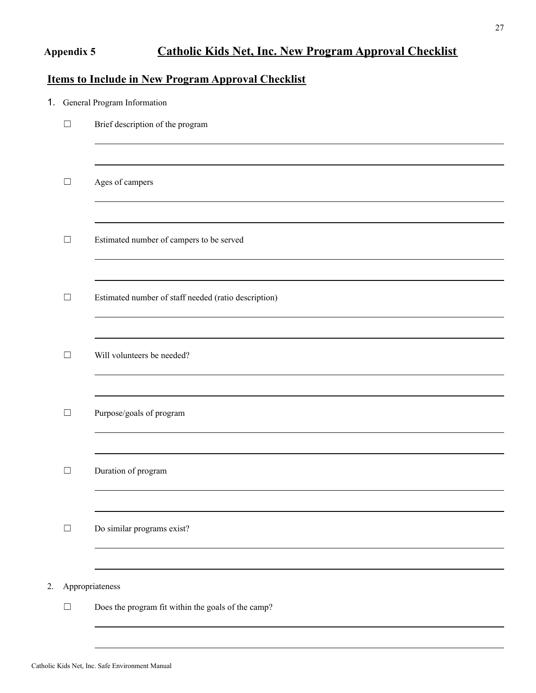# **Appendix 5 Catholic Kids Net, Inc. New Program Approval Checklist**

# **Items to Include in New Program Approval Checklist**

| 1. | General Program Information |                                                      |  |
|----|-----------------------------|------------------------------------------------------|--|
|    | $\Box$                      | Brief description of the program                     |  |
|    |                             |                                                      |  |
|    | $\Box$                      | Ages of campers                                      |  |
|    |                             |                                                      |  |
|    | $\Box$                      | Estimated number of campers to be served             |  |
|    |                             |                                                      |  |
|    | $\Box$                      | Estimated number of staff needed (ratio description) |  |
|    |                             |                                                      |  |
|    | $\Box$                      | Will volunteers be needed?                           |  |
|    |                             |                                                      |  |
|    | $\Box$                      | Purpose/goals of program                             |  |
|    |                             |                                                      |  |
|    | $\Box$                      | Duration of program                                  |  |
|    |                             |                                                      |  |
|    | $\Box$                      | Do similar programs exist?                           |  |
|    |                             |                                                      |  |
| 2. |                             | Appropriateness                                      |  |
|    | $\Box$                      | Does the program fit within the goals of the camp?   |  |
|    |                             |                                                      |  |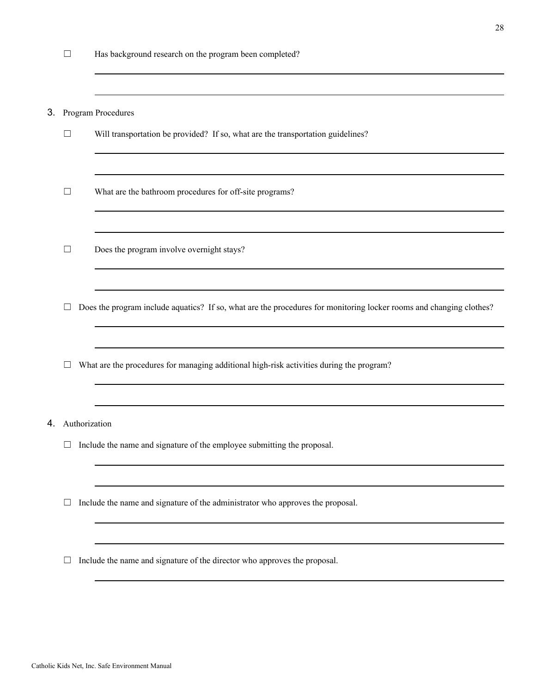☐ Has background research on the program been completed?

### 3. Program Procedures

- $\Box$  Will transportation be provided? If so, what are the transportation guidelines?
- ☐ What are the bathroom procedures for off-site programs?

☐ Does the program involve overnight stays?

- $\Box$  Does the program include aquatics? If so, what are the procedures for monitoring locker rooms and changing clothes?
- $\Box$  What are the procedures for managing additional high-risk activities during the program?

### 4. Authorization

- $\Box$  Include the name and signature of the employee submitting the proposal.
- $\Box$  Include the name and signature of the administrator who approves the proposal.
- <span id="page-27-0"></span>□ Include the name and signature of the director who approves the proposal.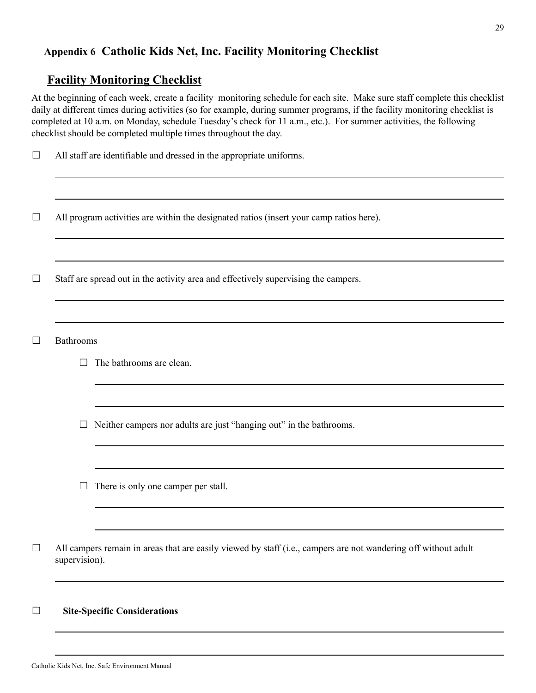### **Appendix 6 Catholic Kids Net, Inc. Facility Monitoring Checklist**

### **Facility Monitoring Checklist**

At the beginning of each week, create a facility monitoring schedule for each site. Make sure staff complete this checklist daily at different times during activities (so for example, during summer programs, if the facility monitoring checklist is completed at 10 a.m. on Monday, schedule Tuesday's check for 11 a.m., etc.). For summer activities, the following checklist should be completed multiple times throughout the day.

| $\perp$ | All program activities are within the designated ratios (insert your camp ratios here). |
|---------|-----------------------------------------------------------------------------------------|
|         |                                                                                         |

☐ All staff are identifiable and dressed in the appropriate uniforms.

 $\Box$  Staff are spread out in the activity area and effectively supervising the campers.

☐ Bathrooms

 $\Box$  The bathrooms are clean.

 $\Box$  Neither campers nor adults are just "hanging out" in the bathrooms.

 $\Box$  There is only one camper per stall.

 $\Box$  All campers remain in areas that are easily viewed by staff (i.e., campers are not wandering off without adult supervision).

### ☐ **Site-Specific Considerations**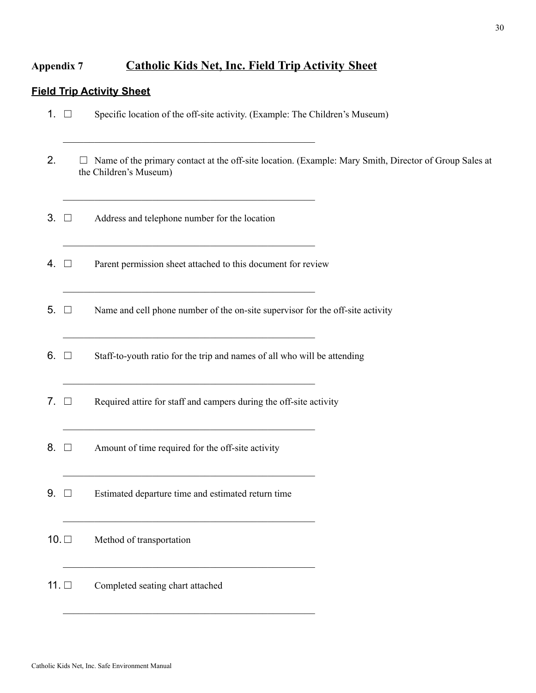# <span id="page-29-0"></span>**Appendix 7 Catholic Kids Net, Inc. Field Trip Activity Sheet**

### **Field Trip Activity Sheet**

| 2.<br>□ Name of the primary contact at the off-site location. (Example: Mary Smith, Director of Group Sales at<br>the Children's Museum)<br>3.<br>Address and telephone number for the location<br>$\perp$<br><u> 1989 - Johann John Stone, mars et al. 1989 - John Stone, mars et al. 1989 - John Stone, mars et al. 1989 - John Stone</u><br>4. □<br>Parent permission sheet attached to this document for review<br><u> 1989 - Johann John Stein, mars an deus Amerikaansk kommunister (</u><br>5.<br>Name and cell phone number of the on-site supervisor for the off-site activity<br>$\Box$<br><u> 1989 - Jan James James James James James James James James James James James James James James James James J</u><br>Staff-to-youth ratio for the trip and names of all who will be attending<br>6.<br>$\Box$<br><u> 1989 - Johann Stoff, deutscher Stoffen und der Stoffen und der Stoffen und der Stoffen und der Stoffen und der</u><br>Required attire for staff and campers during the off-site activity<br>$7.$ $\Box$<br>8.<br>Amount of time required for the off-site activity<br>$\Box$<br>9.<br>Estimated departure time and estimated return time<br>$10. \Box$<br>Method of transportation<br>11. $\square$<br>Completed seating chart attached | 1. $\square$ | Specific location of the off-site activity. (Example: The Children's Museum) |  |
|----------------------------------------------------------------------------------------------------------------------------------------------------------------------------------------------------------------------------------------------------------------------------------------------------------------------------------------------------------------------------------------------------------------------------------------------------------------------------------------------------------------------------------------------------------------------------------------------------------------------------------------------------------------------------------------------------------------------------------------------------------------------------------------------------------------------------------------------------------------------------------------------------------------------------------------------------------------------------------------------------------------------------------------------------------------------------------------------------------------------------------------------------------------------------------------------------------------------------------------------------------------------|--------------|------------------------------------------------------------------------------|--|
|                                                                                                                                                                                                                                                                                                                                                                                                                                                                                                                                                                                                                                                                                                                                                                                                                                                                                                                                                                                                                                                                                                                                                                                                                                                                      |              |                                                                              |  |
|                                                                                                                                                                                                                                                                                                                                                                                                                                                                                                                                                                                                                                                                                                                                                                                                                                                                                                                                                                                                                                                                                                                                                                                                                                                                      |              |                                                                              |  |
|                                                                                                                                                                                                                                                                                                                                                                                                                                                                                                                                                                                                                                                                                                                                                                                                                                                                                                                                                                                                                                                                                                                                                                                                                                                                      |              |                                                                              |  |
|                                                                                                                                                                                                                                                                                                                                                                                                                                                                                                                                                                                                                                                                                                                                                                                                                                                                                                                                                                                                                                                                                                                                                                                                                                                                      |              |                                                                              |  |
|                                                                                                                                                                                                                                                                                                                                                                                                                                                                                                                                                                                                                                                                                                                                                                                                                                                                                                                                                                                                                                                                                                                                                                                                                                                                      |              |                                                                              |  |
|                                                                                                                                                                                                                                                                                                                                                                                                                                                                                                                                                                                                                                                                                                                                                                                                                                                                                                                                                                                                                                                                                                                                                                                                                                                                      |              |                                                                              |  |
|                                                                                                                                                                                                                                                                                                                                                                                                                                                                                                                                                                                                                                                                                                                                                                                                                                                                                                                                                                                                                                                                                                                                                                                                                                                                      |              |                                                                              |  |
|                                                                                                                                                                                                                                                                                                                                                                                                                                                                                                                                                                                                                                                                                                                                                                                                                                                                                                                                                                                                                                                                                                                                                                                                                                                                      |              |                                                                              |  |
|                                                                                                                                                                                                                                                                                                                                                                                                                                                                                                                                                                                                                                                                                                                                                                                                                                                                                                                                                                                                                                                                                                                                                                                                                                                                      |              |                                                                              |  |
|                                                                                                                                                                                                                                                                                                                                                                                                                                                                                                                                                                                                                                                                                                                                                                                                                                                                                                                                                                                                                                                                                                                                                                                                                                                                      |              |                                                                              |  |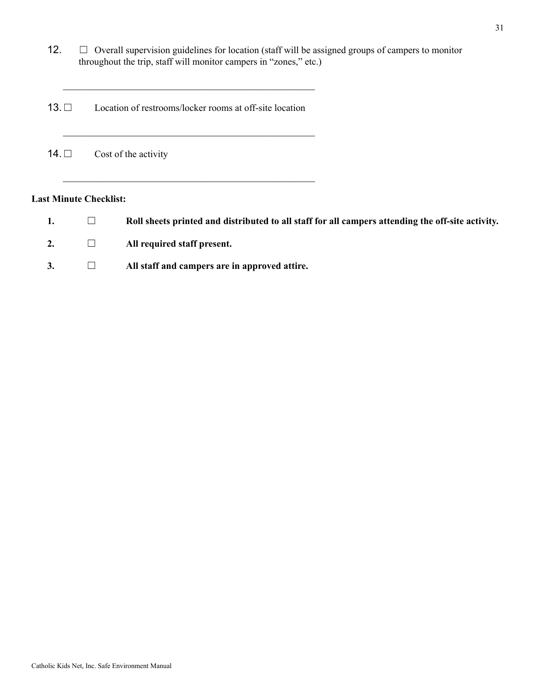12. □ Overall supervision guidelines for location (staff will be assigned groups of campers to monitor throughout the trip, staff will monitor campers in "zones," etc.)

| 13. $\Box$ Location of restrooms/locker rooms at off-site location |
|--------------------------------------------------------------------|
| <b>14.</b> $\Box$ Cost of the activity                             |

 $\mathcal{L}_\text{max}$  and the contract of the contract of the contract of the contract of the contract of the contract of the contract of the contract of the contract of the contract of the contract of the contract of the contrac

\_\_\_\_\_\_\_\_\_\_\_\_\_\_\_\_\_\_\_\_\_\_\_\_\_\_\_\_\_\_\_\_\_\_\_\_\_\_\_\_\_\_\_\_\_\_\_\_

### **Last Minute Checklist:**

| $\mathbf{1}$ . |           | Roll sheets printed and distributed to all staff for all campers attending the off-site activity. |
|----------------|-----------|---------------------------------------------------------------------------------------------------|
|                | - 12 - 12 | All required staff present.                                                                       |
|                |           | All staff and campers are in approved attire.                                                     |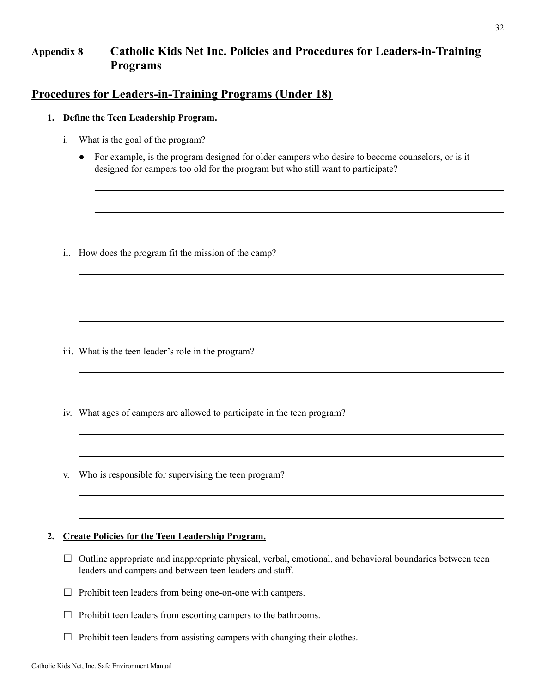### <span id="page-31-0"></span>**Appendix 8 Catholic Kids Net Inc. Policies and Procedures for Leaders-in-Training Programs**

### **Procedures for Leaders-in-Training Programs (Under 18)**

### **1. Define the Teen Leadership Program.**

- i. What is the goal of the program?
	- For example, is the program designed for older campers who desire to become counselors, or is it designed for campers too old for the program but who still want to participate?

ii. How does the program fit the mission of the camp?

- iii. What is the teen leader's role in the program?
- iv. What ages of campers are allowed to participate in the teen program?
- v. Who is responsible for supervising the teen program?

### **2. Create Policies for the Teen Leadership Program.**

- $\Box$  Outline appropriate and inappropriate physical, verbal, emotional, and behavioral boundaries between teen leaders and campers and between teen leaders and staff.
- $\Box$  Prohibit teen leaders from being one-on-one with campers.
- $\Box$  Prohibit teen leaders from escorting campers to the bathrooms.
- $\Box$  Prohibit teen leaders from assisting campers with changing their clothes.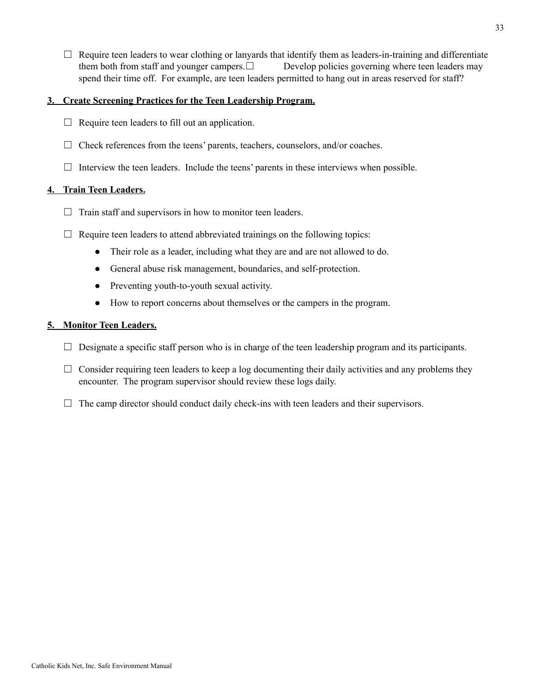$\Box$  Require teen leaders to wear clothing or lanyards that identify them as leaders-in-training and differentiate them both from staff and younger campers. □ Develop policies governing where teen leaders may spend their time off. For example, are teen leaders permitted to hang out in areas reserved for staff?

### **3. Create Screening Practices for the Teen Leadership Program.**

- $\Box$  Require teen leaders to fill out an application.
- $\Box$  Check references from the teens' parents, teachers, counselors, and/or coaches.
- $\Box$  Interview the teen leaders. Include the teens' parents in these interviews when possible.

### **4. Train Teen Leaders.**

- $\Box$  Train staff and supervisors in how to monitor teen leaders.
- $\Box$  Require teen leaders to attend abbreviated trainings on the following topics:
	- Their role as a leader, including what they are and are not allowed to do.
	- General abuse risk management, boundaries, and self-protection.
	- Preventing youth-to-youth sexual activity.
	- How to report concerns about themselves or the campers in the program.

### **5. Monitor Teen Leaders.**

- $\Box$  Designate a specific staff person who is in charge of the teen leadership program and its participants.
- $\Box$  Consider requiring teen leaders to keep a log documenting their daily activities and any problems they encounter. The program supervisor should review these logs daily.
- $\Box$  The camp director should conduct daily check-ins with teen leaders and their supervisors.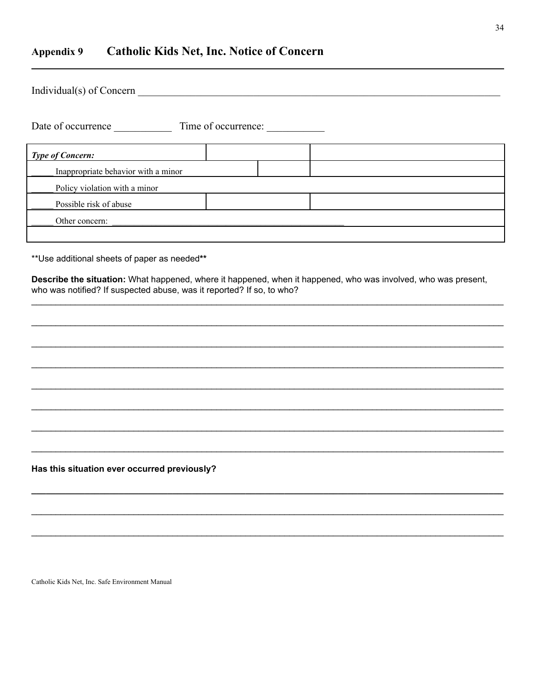### **Catholic Kids Net, Inc. Notice of Concern Appendix 9**

| Individual(s) of Concern            |                     |  |  |  |
|-------------------------------------|---------------------|--|--|--|
| Date of occurrence                  | Time of occurrence: |  |  |  |
| <b>Type of Concern:</b>             |                     |  |  |  |
| Inappropriate behavior with a minor |                     |  |  |  |
| Policy violation with a minor       |                     |  |  |  |
| Possible risk of abuse              |                     |  |  |  |
| Other concern:                      |                     |  |  |  |
|                                     |                     |  |  |  |
|                                     |                     |  |  |  |

\*\* Use additional sheets of paper as needed\*\*

Describe the situation: What happened, where it happened, when it happened, who was involved, who was present, who was notified? If suspected abuse, was it reported? If so, to who?

Has this situation ever occurred previously?

Catholic Kids Net, Inc. Safe Environment Manual